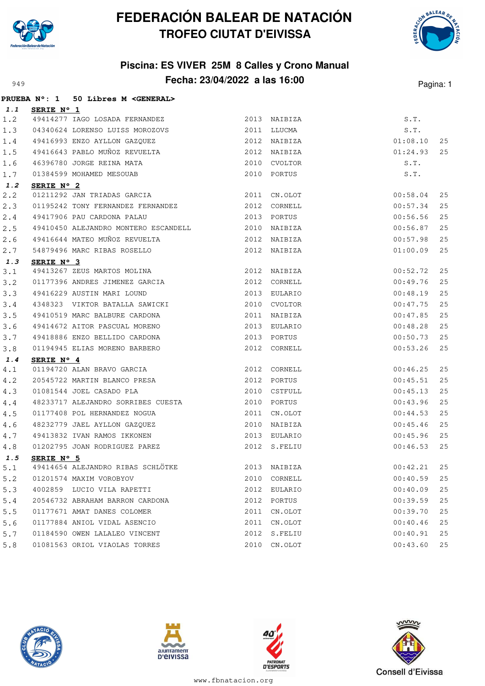



#### **Piscina: ES VIVER 25M 8 Calles y Crono Manual** Pagina: 1 **Fecha: 23/04/2022 a las 16:00** Pagina: 1

|         | PRUEBA N°: 1 50 Libres M <general></general>                                                                                                                                                       |      |              |          |    |
|---------|----------------------------------------------------------------------------------------------------------------------------------------------------------------------------------------------------|------|--------------|----------|----|
| 1.1     | <b>SERIE N° 1</b>                                                                                                                                                                                  |      |              |          |    |
| 1.2     | 49414277 IAGO LOSADA FERNANDEZ                                                                                                                                                                     |      | 2013 NAIBIZA | S.T.     |    |
| 1.3     | 04340624 LORENSO LUISS MOROZOVS                                                                                                                                                                    |      | 2011 LLUCMA  | S.T.     |    |
| $1.4\,$ | 49416993 ENZO AYLLON GAZQUEZ                                                                                                                                                                       | 2012 | NAIBIZA      | 01:08.10 | 25 |
| 1.5     |                                                                                                                                                                                                    | 2012 | NAIBIZA      | 01:24.93 | 25 |
| 1.6     | 49416643 PABLO MUÑOZ REVUELTA<br>46396780 JORGE REINA MATA<br>01384599 MOHAMED MESOUAB                                                                                                             |      | 2010 CVOLTOR | S.T.     |    |
| 1.7     |                                                                                                                                                                                                    |      | 2010 PORTUS  | S.T.     |    |
| 1.2     | SERIE $N^{\circ}$ 2                                                                                                                                                                                |      |              |          |    |
| 2.2     | 01211292 JAN TRIADAS GARCIA                                                                                                                                                                        |      | 2011 CN.OLOT | 00:58.04 | 25 |
| 2.3     | 01195242 TONY FERNANDEZ FERNANDEZ 2012 CORNELL                                                                                                                                                     |      |              | 00:57.34 | 25 |
| 2.4     | 49417906 PAU CARDONA PALAU                                                                                                                                                                         |      | 2013 PORTUS  | 00:56.56 | 25 |
| 2.5     | 49410450 ALEJANDRO MONTERO ESCANDELL 2010 NAIBIZA                                                                                                                                                  |      |              | 00:56.87 | 25 |
| 2.6     | ${\tt 49416644} \begin{array}{l} {\tt MATEO} \begin{array}{l} {\tt MUÑOZ} \end{array} & {\tt REVUELTA} \end{array} \hspace{3cm} {\tt 2012} \begin{array}{l} {\tt NAIBIZA} \end{array} \end{array}$ |      |              | 00:57.98 | 25 |
| 2.7     |                                                                                                                                                                                                    |      |              | 01:00.09 | 25 |
| 1.3     | SERIE $N^{\circ}$ 3                                                                                                                                                                                |      |              |          |    |
| 3.1     | 49413267 ZEUS MARTOS MOLINA                                                                                                                                                                        |      | 2012 NAIBIZA | 00:52.72 | 25 |
| 3.2     | 01177396 ANDRES JIMENEZ GARCIA 2012 CORNELL                                                                                                                                                        |      |              | 00:49.76 | 25 |
| 3.3     | 49416229 AUSTIN MARI LOUND                                                                                                                                                                         |      | 2013 EULARIO | 00:48.19 | 25 |
| 3.4     | 4348323 VIKTOR BATALLA SAWICKI                                                                                                                                                                     |      | 2010 CVOLTOR | 00:47.75 | 25 |
| 3.5     | 49410519 MARC BALBURE CARDONA                                                                                                                                                                      |      | 2011 NAIBIZA | 00:47.85 | 25 |
| 3.6     | 49414672 AITOR PASCUAL MORENO                                                                                                                                                                      | 2013 | EULARIO      | 00:48.28 | 25 |
| 3.7     | 49418886 ENZO BELLIDO CARDONA                                                                                                                                                                      |      | 2013 PORTUS  | 00:50.73 | 25 |
| 3.8     | 01194945 ELIAS MORENO BARBERO                                                                                                                                                                      |      | 2012 CORNELL | 00:53.26 | 25 |
| 1.4     | SERIE N° 4                                                                                                                                                                                         |      |              |          |    |
| 4.1     | 01194720 ALAN BRAVO GARCIA                                                                                                                                                                         |      | 2012 CORNELL | 00:46.25 | 25 |
| 4.2     | 20545722 MARTIN BLANCO PRESA                                                                                                                                                                       | 2012 | PORTUS       | 00:45.51 | 25 |
| 4.3     | 01081544 JOEL CASADO PLA                                                                                                                                                                           | 2010 | CSTFULL      | 00:45.13 | 25 |
| $4.4$   | 48233717 ALEJANDRO SORRIBES CUESTA                                                                                                                                                                 |      | 2010 PORTUS  | 00:43.96 | 25 |
| 4.5     | 01177408 POL HERNANDEZ NOGUA                                                                                                                                                                       |      | 2011 CN.OLOT | 00:44.53 | 25 |
| 4.6     | 48232779 JAEL AYLLON GAZQUEZ                                                                                                                                                                       | 2010 | NAIBIZA      | 00:45.46 | 25 |
| 4.7     | 49413832 IVAN RAMOS IKKONEN                                                                                                                                                                        |      | 2013 EULARIO | 00:45.96 | 25 |
| 4.8     | 01202795 JOAN RODRIGUEZ PAREZ                                                                                                                                                                      |      | 2012 S.FELIU | 00:46.53 | 25 |
| 1.5     | SERIE Nº 5                                                                                                                                                                                         |      |              |          |    |
| 5.1     | 49414654 ALEJANDRO RIBAS SCHLÖTKE                                                                                                                                                                  | 2013 | NAIBIZA      | 00:42.21 | 25 |
| 5.2     | 01201574 MAXIM VOROBYOV                                                                                                                                                                            | 2010 | CORNELL      | 00:40.59 | 25 |
| 5.3     | 4002859 LUCIO VILA RAPETTI                                                                                                                                                                         | 2012 | EULARIO      | 00:40.09 | 25 |
| 5.4     | 20546732 ABRAHAM BARRON CARDONA                                                                                                                                                                    |      | 2012 PORTUS  | 00:39.59 | 25 |
| 5.5     | 01177671 AMAT DANES COLOMER                                                                                                                                                                        | 2011 | CN.OLOT      | 00:39.70 | 25 |
| 5.6     | 01177884 ANIOL VIDAL ASENCIO                                                                                                                                                                       | 2011 | CN.OLOT      | 00:40.46 | 25 |
| 5.7     | 01184590 OWEN LALALEO VINCENT                                                                                                                                                                      | 2012 | S.FELIU      | 00:40.91 | 25 |
| 5.8     | 01081563 ORIOL VIAOLAS TORRES                                                                                                                                                                      | 2010 | CN.OLOT      | 00:43.60 | 25 |







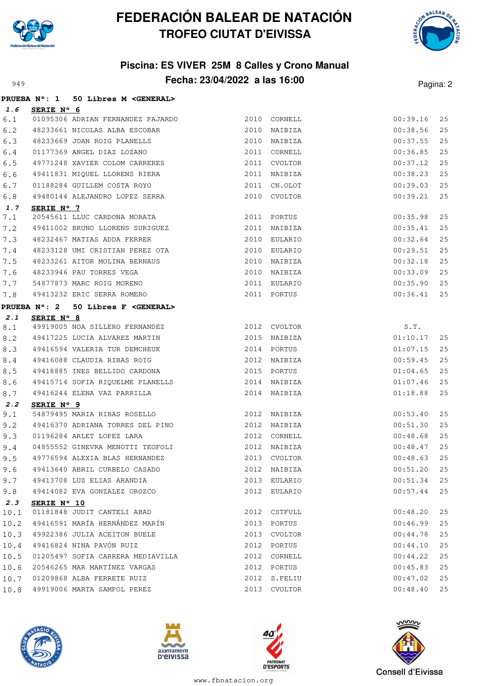



#### **Piscina: ES VIVER 25M 8 Calles y Crono Manual** Pagina: 23/04/2022 **a las 16:00** Pagina: 2

|             |                     | PRUEBA Nº: 1 50 Libres M < GENERAL>          |      |              |          |          |
|-------------|---------------------|----------------------------------------------|------|--------------|----------|----------|
| 1.6         | SERIE $N^{\circ}$ 6 |                                              |      |              |          |          |
| 6.1         |                     | 01095306 ADRIAN FERNANDEZ FAJARDO            |      | 2010 CORNELL | 00:39.16 | 25       |
| 6.2         |                     | 48233661 NICOLAS ALBA ESCOBAR                |      | 2010 NAIBIZA | 00:38.56 | 25       |
| 6.3         |                     | 48233669 JOAN ROIG PLANELLS                  |      | 2010 NAIBIZA | 00:37.55 | 25       |
| 6.4         |                     | 01177369 ANGEL DIAZ LOZANO                   |      | 2011 CORNELL | 00:36.85 | 25       |
| 6.5         |                     | 49771248 XAVIER COLOM CARRERES               |      | 2011 CVOLTOR | 00:37.12 | 25       |
| 6.6         |                     | 49411831 MIQUEL LLORENS RIERA                |      | 2011 NAIBIZA | 00:38.23 | 25       |
| 6.7         |                     | 01188284 GUILLEM COSTA ROYO                  | 2011 | CN.OLOT      | 00:39.03 | 25       |
| $6.8$       |                     | 49480144 ALEJANDRO LOPEZ SERRA               |      | 2010 CVOLTOR | 00:39.21 | 25       |
| 1.7         | SERIE N° 7          |                                              |      |              |          |          |
| 7.1         |                     | 20545611 LLUC CARDONA MORATA                 |      | 2011 PORTUS  | 00:35.98 | 25       |
| 7.2         |                     | 49411002 BRUNO LLORENS SURIGUEZ              |      | 2011 NAIBIZA | 00:35.41 | 25       |
| 7.3         |                     | 48232467 MATIAS ADDA FERRER                  |      | 2010 EULARIO | 00:32.64 | 25       |
| 7.4         |                     | 48233128 UMI CRISTIAN PEREZ OTA              |      | 2010 EULARIO | 00:29.51 | 25       |
| 7.5         |                     | 48233261 AITOR MOLINA BERNAUS                |      | 2010 NAIBIZA | 00:32.18 | 25       |
| 7.6         |                     | 48233946 PAU TORRES VEGA                     |      | 2010 NAIBIZA | 00:33.09 | 25       |
| 7.7         |                     | 54877873 MARC ROIG MORENO                    |      | 2011 EULARIO | 00:35.90 | 25       |
| 7.8         |                     | 49413232 ERIC SERRA ROMERO                   |      | 2011 PORTUS  | 00:36.41 | 25       |
|             |                     | PRUEBA N°: 2 50 Libres F <general></general> |      |              |          |          |
| 2.1         | SERIE N° 8          |                                              |      |              |          |          |
| 8.1         |                     | 49919005 NOA SILLERO FERNANDEZ               |      | 2012 CVOLTOR | S.T.     |          |
| 8.2         |                     | 49417225 LUCIA ALVAREZ MARTIN                |      | 2015 NAIBIZA | 01:10.17 | 25       |
| 8.3         |                     | 49416594 VALERIA TUR DEMCHEUK                |      | 2014 PORTUS  | 01:07.15 | 25       |
| 8.4         |                     | 49416088 CLAUDIA RIBAS ROIG                  |      | 2012 NAIBIZA | 00:59.45 | 25       |
| 8.5         |                     | 49418885 INES BELLIDO CARDONA                |      | 2015 PORTUS  | 01:04.65 | 25       |
| 8.6         |                     | 49415714 SOFIA RIQUELME PLANELLS             |      | 2014 NAIBIZA | 01:07.46 | 25       |
| 8.7         |                     | 49416244 ELENA VAZ PARRILLA                  |      | 2014 NAIBIZA | 01:18.88 | 25       |
| 2.2         | SERIE N° 9          |                                              |      |              |          |          |
| 9.1         |                     | 54879495 MARIA RIBAS ROSELLO                 |      | 2012 NAIBIZA | 00:53.40 | 25       |
| 9.2         |                     | 49416370 ADRIANA TORRES DEL PINO             |      | 2012 NAIBIZA | 00:51.30 | 25       |
| 9.3         |                     | 01196284 ARLET LOPEZ LARA                    |      | 2012 CORNELL | 00:48.68 | 25<br>25 |
| 9.4         |                     | 04855552 GINEVRA MENOTTI TEOFOLI             |      | 2012 NAIBIZA | 00:48.47 |          |
| 9.5         |                     | 49776594 ALEXIA BLAS HERNANDEZ               | 2013 | CVOLTOR      | 00:48.63 | 25       |
| 9.6         |                     | 49413640 ABRIL CURBELO CASADO                | 2012 | NAIBIZA      | 00:51.20 | 25       |
| 9.7         |                     | 49413708 LUZ ELIAS ARANDIA                   |      | 2013 EULARIO | 00:51.34 | 25<br>25 |
| 9.8         |                     | 49414082 EVA GONZALEZ OROZCO                 |      | 2012 EULARIO | 00:57.44 |          |
| 2.3<br>10.1 | SERIE Nº 10         | 01181848 JUDIT CANTELI ABAD                  |      | 2012 CSTFULL | 00:48.20 | 25       |
| 10.2        |                     | 49416591 MARÍA HERNÁNDEZ MARÍN               |      | 2013 PORTUS  | 00:46.99 | 25       |
| 10.3        |                     | 49922386 JULIA ACEITON BUELE                 |      | 2013 CVOLTOR | 00:44.78 | 25       |
| 10.4        |                     | 49416824 NINA PAVÓN RUIZ                     |      | 2012 PORTUS  | 00:44.10 | 25       |
| 10.5        |                     | 01205497 SOFIA CARRERA MEDIAVILLA            | 2012 | CORNELL      | 00:44.22 | 25       |
| 10.6        |                     | 20546265 MAR MARTÍNEZ VARGAS                 |      | 2012 PORTUS  | 00:45.83 | 25       |
| 10.7        |                     | 01209868 ALBA FERRETE RUIZ                   |      | 2012 S.FELIU | 00:47.02 | 25       |
|             |                     | 10.8 49919006 MARTA SAMPOL PEREZ             |      | 2013 CVOLTOR | 00:48.40 | 25       |







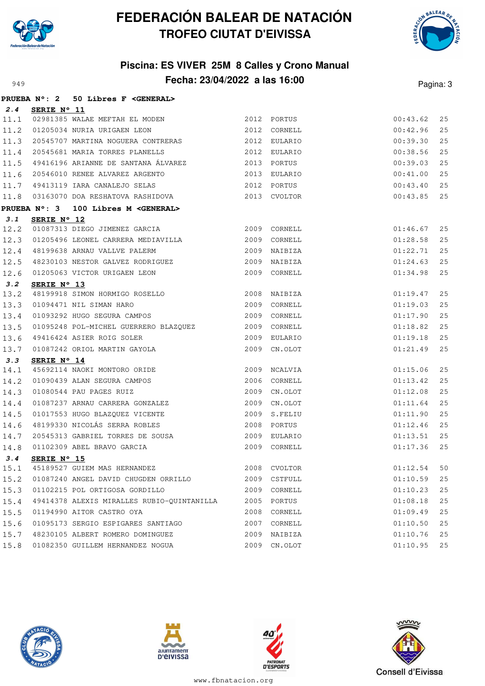



#### **Piscina: ES VIVER 25M 8 Calles y Crono Manual** Pagina: 3 **Fecha: 23/04/2022 a las 16:00** Pagina: 3

|      |             | PRUEBA N°: 2 50 Libres F < GENERAL>                                   |      |              |          |    |
|------|-------------|-----------------------------------------------------------------------|------|--------------|----------|----|
| 2.4  | SERIE Nº 11 |                                                                       |      |              |          |    |
| 11.1 |             | 02981385 WALAE MEFTAH EL MODEN                                        |      | 2012 PORTUS  | 00:43.62 | 25 |
| 11.2 |             | 2012 CORNELL<br>01205034 NURIA URIGAEN LEON                           |      |              | 00:42.96 | 25 |
| 11.3 |             | 20545707 MARTINA NOGUERA CONTRERAS 2012 EULARIO                       |      |              | 00:39.30 | 25 |
| 11.4 |             | 20545681 MARIA TORRES PLANELLS 2012 EULARIO                           |      |              | 00:38.56 | 25 |
| 11.5 |             | 49416196 ARIANNE DE SANTANA ÁLVAREZ 62013 PORTUS                      |      |              | 00:39.03 | 25 |
| 11.6 |             |                                                                       |      | 2013 EULARIO | 00:41.00 | 25 |
| 11.7 |             | 20546010 RENEE ALVAREZ ARGENTO<br>49413119 IARA CANALEJO SELAS        |      | 2012 PORTUS  | 00:43.40 | 25 |
| 11.8 |             | 03163070 DOA RESHATOVA RASHIDOVA 2013 CVOLTOR                         |      |              | 00:43.85 | 25 |
|      |             | PRUEBA N°: 3 100 Libres M <general></general>                         |      |              |          |    |
| 3.1  | SERIE N° 12 |                                                                       |      |              |          |    |
| 12.2 |             | 01087313 DIEGO JIMENEZ GARCIA 2009 CORNELL                            |      |              | 01:46.67 | 25 |
| 12.3 |             | 01205496 LEONEL CARRERA MEDIAVILLA 2009 CORNELL                       |      |              | 01:28.58 | 25 |
| 12.4 |             | 48199638 ARNAU VALLVE PALERM                                          | 2009 | NAIBIZA      | 01:22.71 | 25 |
| 12.5 |             |                                                                       | 2009 | NAIBIZA      | 01:24.63 | 25 |
| 12.6 |             | 48230103 NESTOR GALVEZ RODRIGUEZ<br>01205063 VICTOR URIGAEN LEON      |      | 2009 CORNELL | 01:34.98 | 25 |
| 3.2  | SERIE Nº 13 |                                                                       |      |              |          |    |
| 13.2 |             | 48199918 SIMON HORMIGO ROSELLO<br>01094471 NIL SIMAN HARO             |      | 2008 NAIBIZA | 01:19.47 | 25 |
| 13.3 |             |                                                                       | 2009 | CORNELL      | 01:19.03 | 25 |
| 13.4 |             | 01093292 HUGO SEGURA CAMPOS                                           |      | 2009 CORNELL | 01:17.90 | 25 |
| 13.5 |             | 01095248 POL-MICHEL GUERRERO BLAZQUEZ                                 |      | 2009 CORNELL | 01:18.82 | 25 |
| 13.6 |             | 49416424 ASIER ROIG SOLER                                             |      | 2009 EULARIO | 01:19.18 | 25 |
| 13.7 |             | 01087242 ORIOL MARTIN GAYOLA                                          |      | 2009 CN.OLOT | 01:21.49 | 25 |
| 3.3  | SERIE N° 14 |                                                                       |      |              |          |    |
| 14.1 |             | 45692114 NAOKI MONTORO ORIDE                                          |      | 2009 NCALVIA | 01:15.06 | 25 |
| 14.2 |             | 01090439 ALAN SEGURA CAMPOS<br>01080544 PAU PAGES RUIZ<br>01087885 -- |      | 2006 CORNELL | 01:13.42 | 25 |
| 14.3 |             |                                                                       |      | 2009 CN.OLOT | 01:12.08 | 25 |
| 14.4 |             | 01087237 ARNAU CARRERA GONZALEZ                                       | 2009 | CN.OLOT      | 01:11.64 | 25 |
| 14.5 |             | 01017553 HUGO BLAZQUEZ VICENTE                                        |      | 2009 S.FELIU | 01:11.90 | 25 |
| 14.6 |             | 48199330 NICOLÁS SERRA ROBLES                                         |      | 2008 PORTUS  | 01:12.46 | 25 |
| 14.7 |             | 20545313 GABRIEL TORRES DE SOUSA                                      |      | 2009 EULARIO | 01:13.51 | 25 |
| 14.8 |             | 01102309 ABEL BRAVO GARCIA                                            |      | 2009 CORNELL | 01:17.36 | 25 |
|      |             | 3.4 SERIE N° 15                                                       |      |              |          |    |
| 15.1 |             | 45189527 GUIEM MAS HERNANDEZ                                          |      | 2008 CVOLTOR | 01:12.54 | 50 |
| 15.2 |             | 01087240 ANGEL DAVID CHUGDEN ORRILLO                                  |      | 2009 CSTFULL | 01:10.59 | 25 |
| 15.3 |             | 01102215 POL ORTIGOSA GORDILLO                                        |      | 2009 CORNELL | 01:10.23 | 25 |
| 15.4 |             | 49414378 ALEXIS MIRALLES RUBIO-QUINTANILLA                            |      | 2005 PORTUS  | 01:08.18 | 25 |
| 15.5 |             | 01194990 AITOR CASTRO OYA                                             | 2008 | CORNELL      | 01:09.49 | 25 |
| 15.6 |             | 01095173 SERGIO ESPIGARES SANTIAGO                                    | 2007 | CORNELL      | 01:10.50 | 25 |
| 15.7 |             | 48230105 ALBERT ROMERO DOMINGUEZ                                      | 2009 | NAIBIZA      | 01:10.76 | 25 |
| 15.8 |             | 01082350 GUILLEM HERNANDEZ NOGUA                                      |      | 2009 CN.OLOT | 01:10.95 | 25 |







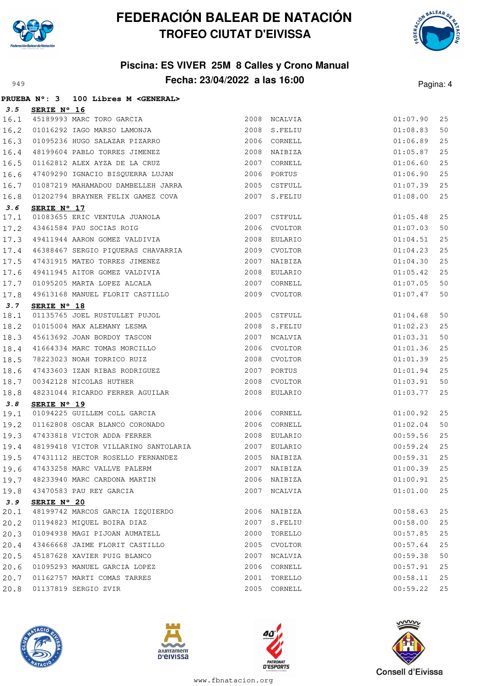



#### **Piscina: ES VIVER 25M 8 Calles y Crono Manual** Pagina: 4 **Fecha: 23/04/2022 a las 16:00** Pagina: 4

|      | PRUEBA N°: 3 | 100 Libres M <general></general>                                                          |      |              |          |    |
|------|--------------|-------------------------------------------------------------------------------------------|------|--------------|----------|----|
| 3.5  | SERIE Nº 16  |                                                                                           |      |              |          |    |
| 16.1 |              | 45189993 MARC TORO GARCIA<br>01016000 TTT                                                 |      | 2008 NCALVIA | 01:07.90 | 25 |
| 16.2 |              | 01016292 IAGO MARSO LAMONJA                                                               |      | 2008 S.FELIU | 01:08.83 | 50 |
| 16.3 |              | 01095236 HUGO SALAZAR PIZARRO                                                             |      | 2006 CORNELL | 01:06.89 | 25 |
| 16.4 |              | 48199604 PABLO TORRES JIMENEZ                                                             |      | 2008 NAIBIZA | 01:05.87 | 25 |
| 16.5 |              | 01162812 ALEX AYZA DE LA CRUZ                                                             | 2007 | CORNELL      | 01:06.60 | 25 |
| 16.6 |              | 47409290 IGNACIO BISQUERRA LUJAN                                                          |      | 2006 PORTUS  | 01:06.90 | 25 |
| 16.7 |              | 01087219 MAHAMADOU DAMBELLEH JARRA                                                        |      | 2005 CSTFULL | 01:07.39 | 25 |
| 16.8 |              | 01202794 BRAYNER FELIX GAMEZ COVA                                                         |      | 2007 S.FELIU | 01:08.00 | 25 |
| 3.6  | SERIE Nº 17  |                                                                                           |      |              |          |    |
| 17.1 |              |                                                                                           |      |              | 01:05.48 | 25 |
| 17.2 |              | 43461584 PAU SOCIAS ROIG                                                                  |      |              | 01:07.03 | 50 |
| 17.3 |              | 49411944 AARON GOMEZ VALDIVIA                                                             |      | 2008 EULARIO | 01:04.51 | 25 |
| 17.4 |              | 46388467 SERGIO PIQUERAS CHAVARRIA 2009 CVOLTOR                                           |      |              | 01:04.23 | 25 |
| 17.5 |              | 47431915 MATEO TORRES JIMENEZ                                                             | 2007 | NAIBIZA      | 01:04.30 | 25 |
| 17.6 |              | 49411945 AITOR GOMEZ VALDIVIA                                                             | 2008 | EULARIO      | 01:05.42 | 25 |
| 17.7 |              | 01095205 MARTA LOPEZ ALCALA                                                               |      | 2007 CORNELL | 01:07.05 | 50 |
| 17.8 |              | 49613168 MANUEL FLORIT CASTILLO                                                           |      | 2009 CVOLTOR | 01:07.47 | 50 |
| 3.7  | SERIE Nº 18  |                                                                                           |      |              |          |    |
| 18.1 |              | 01135765 JOEL RUSTULLET PUJOL                                                             |      | 2005 CSTFULL | 01:04.68 | 50 |
| 18.2 |              |                                                                                           |      | 2008 S.FELIU | 01:02.23 | 25 |
| 18.3 |              |                                                                                           |      | 2007 NCALVIA | 01:03.31 | 50 |
| 18.4 |              | 01015004 MAX ALEMANY LESMA<br>45613692 JOAN BORDOY TASCON<br>41664334 MARC TOMAS MORCILLO |      | 2006 CVOLTOR | 01:01.36 | 25 |
| 18.5 |              | 78223023 NOAH TORRICO RUIZ                                                                | 2008 | CVOLTOR      | 01:01.39 | 25 |
| 18.6 |              |                                                                                           |      | 2007 PORTUS  | 01:01.94 | 25 |
| 18.7 |              | 47433603 IZAN RIBAS RODRIGUEZ<br>00342128 NICOLAS HUTHER                                  |      | 2008 CVOLTOR | 01:03.91 | 50 |
| 18.8 |              | 48231044 RICARDO FERRER AGUILAR                                                           |      | 2008 EULARIO | 01:03.77 | 25 |
| 3.8  | SERIE N° 19  |                                                                                           |      |              |          |    |
| 19.1 |              | 01094225 GUILLEM COLL GARCIA 2006 CORNELL                                                 |      |              | 01:00.92 | 25 |
| 19.2 |              |                                                                                           |      |              | 01:02.04 | 50 |
| 19.3 |              | 47433818 VICTOR ADDA FERRER                                                               |      | 2008 EULARIO | 00:59.56 | 25 |
| 19.4 |              | 48199418 VICTOR VILLARINO SANTOLARIA 62007 EULARIO                                        |      |              | 00:59.24 | 25 |
|      |              | 19.5 47431112 HECTOR ROSELLO FERNANDEZ 2005 NAIBIZA                                       |      |              | 00:59.31 | 25 |
| 19.6 |              | 47433258 MARC VALLVE PALERM                                                               |      | 2007 NAIBIZA | 01:00.39 | 25 |
| 19.7 |              | 48233940 MARC CARDONA MARTIN                                                              |      | 2006 NAIBIZA | 01:00.91 | 25 |
| 19.8 |              | 43470583 PAU REY GARCIA                                                                   |      | 2007 NCALVIA | 01:01.00 | 25 |
| 3.9  | SERIE Nº 20  |                                                                                           |      |              |          |    |
| 20.1 |              | 48199742 MARCOS GARCIA IZQUIERDO                                                          |      | 2006 NAIBIZA | 00:58.63 | 25 |
| 20.2 |              | 01194823 MIQUEL BOIRA DIAZ                                                                |      | 2007 S.FELIU | 00:58.00 | 25 |
| 20.3 |              | 01094938 MAGI PIJOAN AUMATELL                                                             |      | 2000 TORELLO | 00:57.85 | 25 |
| 20.4 |              | 43466668 JAIME FLORIT CASTILLO                                                            | 2005 | CVOLTOR      | 00:57.64 | 25 |
| 20.5 |              | 45187628 XAVIER PUIG BLANCO                                                               |      | 2007 NCALVIA | 00:59.38 | 50 |
| 20.6 |              | 01095293 MANUEL GARCIA LOPEZ                                                              |      | 2006 CORNELL | 00:57.91 | 25 |
| 20.7 |              | 01162757 MARTI COMAS TARRES                                                               |      | 2001 TORELLO | 00:58.11 | 25 |
| 20.8 |              | 01137819 SERGIO ZVIR                                                                      |      | 2005 CORNELL | 00:59.22 | 25 |
|      |              |                                                                                           |      |              |          |    |







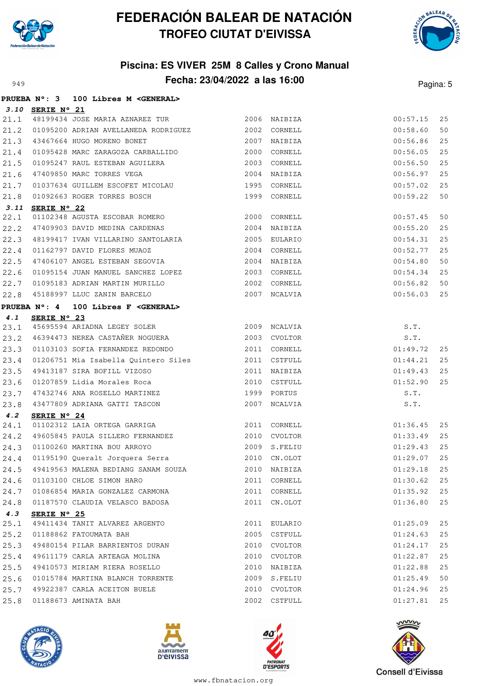



#### **Piscina: ES VIVER 25M 8 Calles y Crono Manual** Pagina: 5

|      | PRUEBA N°: 3         | 100 Libres M < GENERAL>                                                                       |              |          |    |
|------|----------------------|-----------------------------------------------------------------------------------------------|--------------|----------|----|
|      | 3.10 SERIE Nº 21     |                                                                                               |              |          |    |
| 21.1 |                      | 48199434 JOSE MARIA AZNAREZ TUR                                                               | 2006 NAIBIZA | 00:57.15 | 25 |
| 21.2 |                      | 01095200 ADRIAN AVELLANEDA RODRIGUEZ 2002 CORNELL                                             |              | 00:58.60 | 50 |
| 21.3 |                      | 43467664 HUGO MORENO BONET                                                                    | 2007 NAIBIZA | 00:56.86 | 25 |
| 21.4 |                      |                                                                                               |              | 00:56.05 | 25 |
| 21.5 |                      | 01095247 RAUL ESTEBAN AGUILERA                                                                | 2003 CORNELL | 00:56.50 | 25 |
| 21.6 |                      | 47409850 MARC TORRES VEGA                                                                     | 2004 NAIBIZA | 00:56.97 | 25 |
| 21.7 |                      | 01037634 GUILLEM ESCOFET MICOLAU 1995 CORNELL                                                 |              | 00:57.02 | 25 |
| 21.8 |                      | 01092663 ROGER TORRES BOSCH                                                                   | 1999 CORNELL | 00:59.22 | 50 |
|      | 3.11 SERIE Nº 22     |                                                                                               |              |          |    |
| 22.1 |                      | 01102348 AGUSTA ESCOBAR ROMERO 2000 CORNELL                                                   |              | 00:57.45 | 50 |
| 22.2 |                      | 47409903 DAVID MEDINA CARDENAS 2004 NAIBIZA                                                   |              | 00:55.20 | 25 |
| 22.3 |                      |                                                                                               |              | 00:54.31 | 25 |
| 22.4 |                      | 01162797 DAVID FLORES MUAOZ                                                                   | 2004 CORNELL | 00:52.77 | 25 |
| 22.5 |                      | 47406107 ANGEL ESTEBAN SEGOVIA                                                                | 2004 NAIBIZA | 00:54.80 | 50 |
| 22.6 |                      | 01095154 JUAN MANUEL SANCHEZ LOPEZ 2003 CORNELL                                               |              | 00:54.34 | 25 |
| 22.7 |                      | 01095183 ADRIAN MARTIN MURILLO                                                                | 2002 CORNELL | 00:56.82 | 50 |
| 22.8 |                      | 45188997 LLUC ZANIN BARCELO                                                                   | 2007 NCALVIA | 00:56.03 | 25 |
|      | PRUEBA $N^\circ$ : 4 | 100 Libres F <general></general>                                                              |              |          |    |
| 4.1  | SERIE Nº 23          |                                                                                               |              |          |    |
| 23.1 |                      | 45695594 ARIADNA LEGEY SOLER 2009 NCALVIA                                                     |              | S.T.     |    |
| 23.2 |                      | 46394473 NEREA CASTAÑER NOGUERA 2003 CVOLTOR                                                  |              | S.T.     |    |
| 23.3 |                      | 01103103 SOFIA FERNANDEZ REDONDO                                                              | 2011 CORNELL | 01:49.72 | 25 |
| 23.4 |                      | 01206751 Mia Isabella Quintero Siles 612011 CSTFULL                                           |              | 01:44.21 | 25 |
| 23.5 |                      | 49413187 SIRA BOFILL VIZOSO                                                                   | 2011 NAIBIZA | 01:49.43 | 25 |
| 23.6 |                      |                                                                                               | 2010 CSTFULL | 01:52.90 | 25 |
| 23.7 |                      |                                                                                               | 1999 PORTUS  | S.T.     |    |
| 23.8 |                      | 01207859 Lidia Morales Roca<br>47432746 ANA ROSELLO MARTINEZ<br>43477809 ADRIANA GATTI TASCON | 2007 NCALVIA | S.T.     |    |
| 4.2  | SERIE N° 24          |                                                                                               |              |          |    |
| 24.1 |                      | 01102312 LAIA ORTEGA GARRIGA                                                                  | 2011 CORNELL | 01:36.45 | 25 |
| 24.2 |                      | 49605845 PAULA SILLERO FERNANDEZ 2010 CVOLTOR                                                 |              | 01:33.49 | 25 |
| 24.3 |                      | 01100260 MARTINA BOU ARROYO                                                                   | 2009 S.FELIU | 01:29.43 | 25 |
| 24.4 |                      | 01195190 Queralt Jorquera Serra                                                               | 2010 CN.OLOT | 01:29.07 | 25 |
| 24.5 |                      | 49419563 MALENA BEDIANG SANAM SOUZA                                                           | 2010 NAIBIZA | 01:29.18 | 25 |
| 24.6 |                      | 01103100 CHLOE SIMON HARO                                                                     | 2011 CORNELL | 01:30.62 | 25 |
| 24.7 |                      | 01086854 MARIA GONZALEZ CARMONA                                                               | 2011 CORNELL | 01:35.92 | 25 |
| 24.8 |                      | 01187570 CLAUDIA VELASCO BADOSA                                                               | 2011 CN.OLOT | 01:36.80 | 25 |
| 4.3  | SERIE Nº 25          |                                                                                               |              |          |    |
| 25.1 |                      | 49411434 TANIT ALVAREZ ARGENTO                                                                | 2011 EULARIO | 01:25.09 | 25 |
| 25.2 |                      | 01188862 FATOUMATA BAH                                                                        | 2005 CSTFULL | 01:24.63 | 25 |
| 25.3 |                      | 49480154 PILAR BARRIENTOS DURAN                                                               | 2010 CVOLTOR | 01:24.17 | 25 |
| 25.4 |                      | 49611179 CARLA ARTEAGA MOLINA                                                                 | 2010 CVOLTOR | 01:22.87 | 25 |
| 25.5 |                      | 49410573 MIRIAM RIERA ROSELLO                                                                 | 2010 NAIBIZA | 01:22.88 | 25 |
| 25.6 |                      | 01015784 MARTINA BLANCH TORRENTE                                                              | 2009 S.FELIU | 01:25.49 | 50 |
| 25.7 |                      | 49922387 CARLA ACEITON BUELE                                                                  | 2010 CVOLTOR | 01:24.96 | 25 |
| 25.8 |                      | 01188673 AMINATA BAH                                                                          | 2002 CSTFULL | 01:27.81 | 25 |







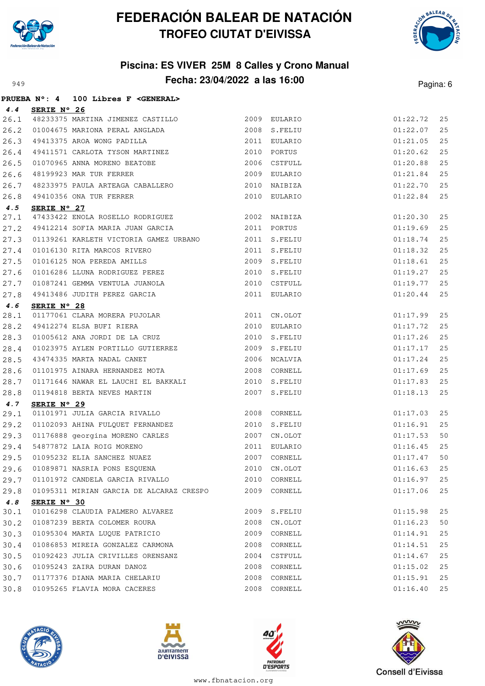



#### **Piscina: ES VIVER 25M 8 Calles y Crono Manual** Pagina: 6 **Fecha: 23/04/2022 a las 16:00** Pagina: 6

|      |                    | PRUEBA N°: 4 100 Libres F <general></general>                                                           |      |                  |          |    |
|------|--------------------|---------------------------------------------------------------------------------------------------------|------|------------------|----------|----|
| 4.4  | <b>SERIE N° 26</b> |                                                                                                         |      |                  |          |    |
| 26.1 |                    | 48233375 MARTINA JIMENEZ CASTILLO                                                                       |      | 2009 EULARIO     | 01:22.72 | 25 |
| 26.2 |                    | $01004675 \text{ MARIONA PERAL ANGLADA} \hspace{20pt} 2008 \text{ S. FELIU}$ 49413375 AROA WONG PADILLA |      |                  | 01:22.07 | 25 |
| 26.3 |                    | 49413375 AROA WONG PADILLA                                                                              |      |                  | 01:21.05 | 25 |
| 26.4 |                    | 49411571 CARLOTA TYSON MARTINEZ                                                                         |      | 2010 PORTUS      | 01:20.62 | 25 |
| 26.5 |                    | 01070965 ANNA MORENO BEATOBE<br>48199923 MAR TUR FERRER                                                 |      | 2006 CSTFULL     | 01:20.88 | 25 |
| 26.6 |                    |                                                                                                         |      | 2009 EULARIO     | 01:21.84 | 25 |
| 26.7 |                    |                                                                                                         |      |                  | 01:22.70 | 25 |
|      |                    | 26.8 49410356 ONA TUR FERRER                                                                            |      | 2010 EULARIO     | 01:22.84 | 25 |
| 4.5  | SERIE Nº 27        |                                                                                                         |      |                  |          |    |
| 27.1 |                    | 47433422 ENOLA ROSELLO RODRIGUEZ 2002 NAIBIZA                                                           |      |                  | 01:20.30 | 25 |
| 27.2 |                    | 49412214 SOFIA MARIA JUAN GARCIA 2011 PORTUS                                                            |      |                  | 01:19.69 | 25 |
| 27.3 |                    | 01139261 KARLETH VICTORIA GAMEZ URBANO 2011 S.FELIU                                                     |      |                  | 01:18.74 | 25 |
| 27.4 |                    | 01016130 RITA MARCOS RIVERO<br>01016125 NOA PEREDA AMILLS                                               |      | 2011 S.FELIU     | 01:18.32 | 25 |
| 27.5 |                    |                                                                                                         |      | 2009 S.FELIU     | 01:18.61 | 25 |
| 27.6 |                    | 01016286 LLUNA RODRIGUEZ PEREZ                                                                          |      | 2010 S.FELIU     | 01:19.27 | 25 |
| 27.7 |                    | 01087241 GEMMA VENTULA JUANOLA                                                                          |      | 2010 CSTFULL     | 01:19.77 | 25 |
| 27.8 |                    | 49413486 JUDITH PEREZ GARCIA                                                                            |      | 2011 EULARIO     | 01:20.44 | 25 |
| 4.6  | SERIE N° 28        |                                                                                                         |      |                  |          |    |
| 28.1 |                    | 01177061 CLARA MORERA PUJOLAR 2011 CN.OLOT 49412274 ELSA BUFI RIERA 2010 EULARIO                        |      |                  | 01:17.99 | 25 |
| 28.2 |                    |                                                                                                         |      |                  | 01:17.72 | 25 |
| 28.3 |                    | 01005612 ANA JORDI DE LA CRUZ 600 2010 S.FELIU                                                          |      |                  | 01:17.26 | 25 |
| 28.4 |                    | 01023975 AYLEN PORTILLO GUTIERREZ<br>42474225 WARTA WARE SINTE                                          |      | 2009 S.FELIU     | 01:17.17 | 25 |
| 28.5 |                    | 43474335 MARTA NADAL CANET                                                                              |      | 2006 NCALVIA     | 01:17.24 | 25 |
| 28.6 |                    |                                                                                                         |      |                  | 01:17.69 | 25 |
| 28.7 |                    | $01171646$ NAWAR EL LAUCHI EL BAKKALI $2010$ S.FELIU $01194818$ BERTA NEVES MARTIN $2007$ S.FELIU       |      |                  | 01:17.83 | 25 |
| 28.8 |                    |                                                                                                         |      |                  | 01:18.13 | 25 |
| 4.7  | SERIE N° 29        |                                                                                                         |      |                  |          |    |
| 29.1 |                    | 01101971 JULIA GARCIA RIVALLO 2008 CORNELL                                                              |      |                  | 01:17.03 | 25 |
| 29.2 |                    | 01102093 AHINA FULQUET FERNANDEZ                                                                        |      | 2010 S.FELIU     | 01:16.91 | 25 |
| 29.3 |                    | 01176888 georgina MORENO CARLES<br>54877872 LAIA ROIG MORENO<br>01095232 ELIA SANCHEZ NUAEZ             | 2007 | CN.OLOT          | 01:17.53 | 50 |
| 29.4 |                    |                                                                                                         |      | 2011 EULARIO     | 01:16.45 | 25 |
| 29.5 |                    |                                                                                                         |      | 2007 CORNELL     | 01:17.47 | 50 |
| 29.6 |                    | 01089871 NASRIA PONS ESQUENA                                                                            | 2010 | CN.OLOT          | 01:16.63 | 25 |
| 29.7 |                    | 01101972 CANDELA GARCIA RIVALLO                                                                         | 2010 | CORNELL          | 01:16.97 | 25 |
| 29.8 |                    | 01095311 MIRIAN GARCIA DE ALCARAZ CRESPO                                                                |      | 2009 CORNELL     | 01:17.06 | 25 |
| 4.8  | SERIE Nº 30        |                                                                                                         |      |                  |          |    |
| 30.1 |                    | 01016298 CLAUDIA PALMERO ALVAREZ                                                                        | 2009 | S.FELIU          | 01:15.98 | 25 |
| 30.2 |                    | 01087239 BERTA COLOMER ROURA                                                                            | 2008 | ${\tt CN. OLOT}$ | 01:16.23 | 50 |
| 30.3 |                    | 01095304 MARTA LUQUE PATRICIO                                                                           | 2009 | CORNELL          | 01:14.91 | 25 |
| 30.4 |                    | 01086853 MIREIA GONZALEZ CARMONA                                                                        | 2008 | CORNELL          | 01:14.51 | 25 |
| 30.5 |                    | 01092423 JULIA CRIVILLES ORENSANZ                                                                       | 2004 | CSTFULL          | 01:14.67 | 25 |
| 30.6 |                    | 01095243 ZAIRA DURAN DANOZ                                                                              | 2008 | CORNELL          | 01:15.02 | 25 |
| 30.7 |                    | 01177376 DIANA MARIA CHELARIU                                                                           | 2008 | CORNELL          | 01:15.91 | 25 |
| 30.8 |                    | 01095265 FLAVIA MORA CACERES                                                                            | 2008 | CORNELL          | 01:16.40 | 25 |







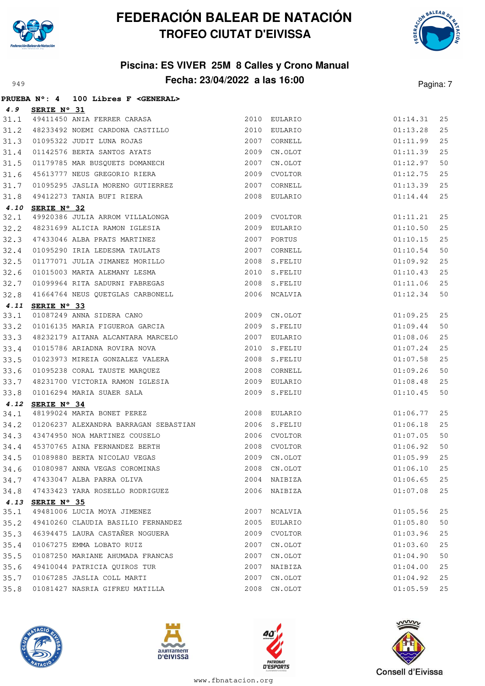



#### **Piscina: ES VIVER 25M 8 Calles y Crono Manual** Pagina: 7 **Fecha: 23/04/2022 a las 16:00** Pagina: 7

|      |                  | PRUEBA N°: 4 100 Libres F <general></general>                                               |              |              |          |    |
|------|------------------|---------------------------------------------------------------------------------------------|--------------|--------------|----------|----|
| 4.9  | SERIE Nº 31      |                                                                                             |              |              |          |    |
| 31.1 |                  | 49411450 ANIA FERRER CARASA                                                                 |              | 2010 EULARIO | 01:14.31 | 25 |
| 31.2 |                  |                                                                                             |              | 2010 EULARIO | 01:13.28 | 25 |
| 31.3 |                  | 48233492 NOEMI CARDONA CASTILLO<br>01095322 JUDIT LUNA ROJAS<br>01142576 BERTA SANTOS AYATS |              | 2007 CORNELL | 01:11.99 | 25 |
| 31.4 |                  |                                                                                             |              | 2009 CN.OLOT | 01:11.39 | 25 |
| 31.5 |                  | 01179785 MAR BUSQUETS DOMANECH                                                              |              | 2007 CN.OLOT | 01:12.97 | 50 |
| 31.6 |                  | 45613777 NEUS GREGORIO RIERA                                                                |              | 2009 CVOLTOR | 01:12.75 | 25 |
| 31.7 |                  | 01095295 JASLIA MORENO GUTIERREZ                                                            | 2007         | CORNELL      | 01:13.39 | 25 |
| 31.8 |                  | 49412273 TANIA BUFI RIERA                                                                   |              | 2008 EULARIO | 01:14.44 | 25 |
|      | 4.10 SERIE Nº 32 |                                                                                             |              |              |          |    |
| 32.1 |                  | 49920386 JULIA ARROM VILLALONGA 2009 CVOLTOR                                                |              |              | 01:11.21 | 25 |
| 32.2 |                  | 48231699 ALICIA RAMON IGLESIA<br>47433046 ALBA PRATS MARTINEZ                               |              | 2009 EULARIO | 01:10.50 | 25 |
| 32.3 |                  |                                                                                             |              | 2007 PORTUS  | 01:10.15 | 25 |
| 32.4 |                  | 01095290 IRIA LEDESMA TAULATS                                                               |              | 2007 CORNELL | 01:10.54 | 50 |
| 32.5 |                  | 01177071 JULIA JIMANEZ MORILLO                                                              |              | 2008 S.FELIU | 01:09.92 | 25 |
| 32.6 |                  | 01015003 MARTA ALEMANY LESMA                                                                |              | 2010 S.FELIU | 01:10.43 | 25 |
| 32.7 |                  | 01099964 RITA SADURNI FABREGAS                                                              |              | 2008 S.FELIU | 01:11.06 | 25 |
| 32.8 |                  | 41664764 NEUS QUETGLAS CARBONELL                                                            |              | 2006 NCALVIA | 01:12.34 | 50 |
|      | 4.11 SERIE Nº 33 |                                                                                             |              |              |          |    |
| 33.1 |                  | <b>SERIE N° 33</b><br>01087249 ANNA SIDERA CANO (2009 CN.OLOT                               |              |              | 01:09.25 | 25 |
| 33.2 |                  | 01016135 MARIA FIGUEROA GARCIA (2009 S.FELIU                                                |              |              | 01:09.44 | 50 |
| 33.3 |                  | 48232179 AITANA ALCANTARA MARCELO 2007 EULARIO                                              |              |              | 01:08.06 | 25 |
| 33.4 |                  | 01015786 ARIADNA ROVIRA NOVA<br>01023973 MIREIA GONZALEZ VALERA                             |              | 2010 S.FELIU | 01:07.24 | 25 |
| 33.5 |                  |                                                                                             |              | 2008 S.FELIU | 01:07.58 | 25 |
| 33.6 |                  | 01095238 CORAL TAUSTE MARQUEZ                                                               |              | 2008 CORNELL | 01:09.26 | 50 |
| 33.7 |                  |                                                                                             |              | 2009 EULARIO | 01:08.48 | 25 |
| 33.8 |                  | 48231700 VICTORIA RAMON IGLESIA<br>01016294 MARIA SUAER SALA                                |              | 2009 S.FELIU | 01:10.45 | 50 |
| 4.12 | SERIE N° 34      |                                                                                             | 2008 EULARIO |              |          |    |
| 34.1 |                  | 48199024 MARTA BONET PEREZ                                                                  |              |              | 01:06.77 | 25 |
| 34.2 |                  | 01206237 ALEXANDRA BARRAGAN SEBASTIAN 2006 S.FELIU                                          |              |              | 01:06.18 | 25 |
| 34.3 |                  | 43474950 NOA MARTINEZ COUSELO                                                               |              | 2006 CVOLTOR | 01:07.05 | 50 |
| 34.4 |                  | 45370765 AINA FERNANDEZ BERTH<br>01089880 BERTA NICOLAU VEGAS                               |              | 2008 CVOLTOR | 01:06.92 | 50 |
| 34.5 |                  |                                                                                             |              | 2009 CN.OLOT | 01:05.99 | 25 |
| 34.6 |                  | 01080987 ANNA VEGAS COROMINAS                                                               |              | 2008 CN.OLOT | 01:06.10 | 25 |
| 34.7 |                  | 47433047 ALBA PARRA OLIVA                                                                   |              | 2004 NAIBIZA | 01:06.65 | 25 |
| 34.8 |                  | 47433423 YARA ROSELLO RODRIGUEZ                                                             |              | 2006 NAIBIZA | 01:07.08 | 25 |
| 4.13 | SERIE N° 35      |                                                                                             |              |              |          |    |
| 35.1 |                  | 49481006 LUCIA MOYA JIMENEZ                                                                 |              | 2007 NCALVIA | 01:05.56 | 25 |
| 35.2 |                  | 49410260 CLAUDIA BASILIO FERNANDEZ                                                          | 2005         | EULARIO      | 01:05.80 | 50 |
| 35.3 |                  | 46394475 LAURA CASTAÑER NOGUERA                                                             | 2009         | CVOLTOR      | 01:03.96 | 25 |
| 35.4 |                  | 01067275 EMMA LOBATO RUIZ                                                                   | 2007         | CN.OLOT      | 01:03.60 | 25 |
| 35.5 |                  | 01087250 MARIANE AHUMADA FRANCAS                                                            | 2007         | CN.OLOT      | 01:04.90 | 50 |
| 35.6 |                  | 49410044 PATRICIA QUIROS TUR                                                                | 2007         | NAIBIZA      | 01:04.00 | 25 |
| 35.7 |                  | 01067285 JASLIA COLL MARTI                                                                  | 2007         | CN.OLOT      | 01:04.92 | 25 |
| 35.8 |                  | 01081427 NASRIA GIFREU MATILLA                                                              | 2008         | CN.OLOT      | 01:05.59 | 25 |







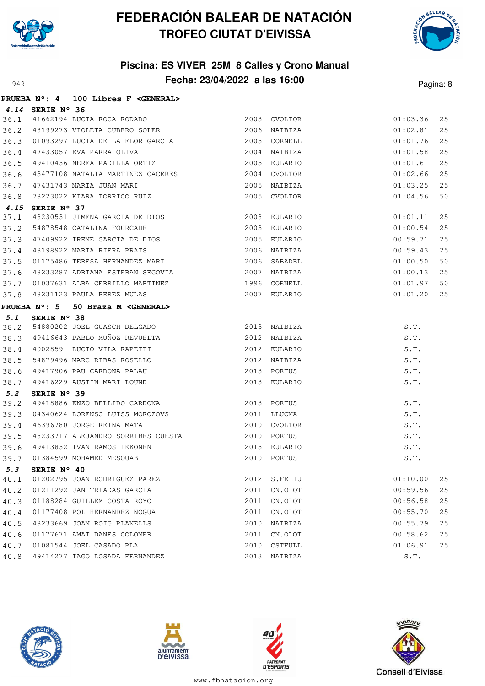



#### **Piscina: ES VIVER 25M 8 Calles y Crono Manual** Pagina: 8 **Fecha: 23/04/2022 a las 16:00** Pagina: 8

|      |                  | PRUEBA N°: 4 100 Libres F <general></general>           |              |              |          |    |
|------|------------------|---------------------------------------------------------|--------------|--------------|----------|----|
|      | 4.14 SERIE Nº 36 |                                                         |              |              |          |    |
| 36.1 |                  | 41662194 LUCIA ROCA RODADO                              |              | 2003 CVOLTOR | 01:03.36 | 25 |
| 36.2 |                  | 48199273 VIOLETA CUBERO SOLER 2006 NAIBIZA              |              |              | 01:02.81 | 25 |
| 36.3 |                  |                                                         |              |              | 01:01.76 | 25 |
| 36.4 |                  | 47433057 EVA PARRA OLIVA                                |              | 2004 NAIBIZA | 01:01.58 | 25 |
| 36.5 |                  | 49410436 NEREA PADILLA ORTIZ                            |              | 2005 EULARIO | 01:01.61 | 25 |
| 36.6 |                  | 43477108 NATALIA MARTINEZ CACERES                       |              | 2004 CVOLTOR | 01:02.66 | 25 |
| 36.7 |                  |                                                         |              | 2005 NAIBIZA | 01:03.25 | 25 |
| 36.8 |                  | 47431743 MARIA JUAN MARI<br>78223022 KIARA TORRICO RUIZ |              | 2005 CVOLTOR | 01:04.56 | 50 |
| 4.15 | SERIE N° 37      |                                                         |              |              |          |    |
| 37.1 |                  | 48230531 JIMENA GARCIA DE DIOS                          |              | 2008 EULARIO | 01:01.11 | 25 |
| 37.2 |                  | 54878548 CATALINA FOURCADE<br>2003 EULARIO              |              |              | 01:00.54 | 25 |
| 37.3 |                  | 47409922 IRENE GARCIA DE DIOS                           |              | 2005 EULARIO | 00:59.71 | 25 |
| 37.4 |                  | 48198922 MARIA RIERA PRATS                              |              | 2006 NAIBIZA | 00:59.43 | 25 |
| 37.5 |                  | 01175486 TERESA HERNANDEZ MARI                          |              | 2006 SABADEL | 01:00.50 | 50 |
| 37.6 |                  | 48233287 ADRIANA ESTEBAN SEGOVIA                        |              | 2007 NAIBIZA | 01:00.13 | 25 |
| 37.7 |                  | 01037631 ALBA CERRILLO MARTINEZ  1996 CORNELL           |              |              | 01:01.97 | 50 |
| 37.8 |                  | 48231123 PAULA PEREZ MULAS                              |              | 2007 EULARIO | 01:01.20 | 25 |
|      |                  | PRUEBA Nº: 5 50 Braza M <general></general>             |              |              |          |    |
| 5.1  | SERIE N° 38      |                                                         |              |              |          |    |
| 38.2 |                  | 54880202 JOEL GUASCH DELGADO                            |              | 2013 NAIBIZA | S.T.     |    |
| 38.3 |                  | 49416643 PABLO MUÑOZ REVUELTA                           |              | 2012 NAIBIZA | S.T.     |    |
| 38.4 |                  | 4002859 LUCIO VILA RAPETTI                              |              | 2012 EULARIO | S.T.     |    |
| 38.5 |                  | 54879496 MARC RIBAS ROSELLO                             |              | 2012 NAIBIZA | S.T.     |    |
| 38.6 |                  | 49417906 PAU CARDONA PALAU                              |              | 2013 PORTUS  | S.T.     |    |
| 38.7 |                  | 49416229 AUSTIN MARI LOUND                              |              | 2013 EULARIO | S.T.     |    |
| 5.2  | SERIE N° 39      |                                                         |              |              |          |    |
| 39.2 |                  | 49418886 ENZO BELLIDO CARDONA                           | 2013 PORTUS  |              | S.T.     |    |
| 39.3 |                  | 04340624 LORENSO LUISS MOROZOVS 2011 LLUCMA             |              |              | S.T.     |    |
| 39.4 |                  | 46396780 JORGE REINA MATA                               | 2010 CVOLTOR |              | S.T.     |    |
| 39.5 |                  | 48233717 ALEJANDRO SORRIBES CUESTA                      |              | 2010 PORTUS  | S.T.     |    |
| 39.6 |                  | 49413832 IVAN RAMOS IKKONEN                             |              | 2013 EULARIO | S.T.     |    |
| 39.7 |                  | 01384599 MOHAMED MESOUAB                                | 2010         | PORTUS       | S.T.     |    |
| 5.3  | SERIE N° 40      |                                                         |              |              |          |    |
| 40.1 |                  | 01202795 JOAN RODRIGUEZ PAREZ                           | 2012         | S.FELIU      | 01:10.00 | 25 |
| 40.2 |                  | 01211292 JAN TRIADAS GARCIA                             | 2011         | CN.OLOT      | 00:59.56 | 25 |
| 40.3 |                  | 01188284 GUILLEM COSTA ROYO                             | 2011         | CN.OLOT      | 00:56.58 | 25 |
| 40.4 |                  | 01177408 POL HERNANDEZ NOGUA                            | 2011         | CN.OLOT      | 00:55.70 | 25 |
| 40.5 |                  | 48233669 JOAN ROIG PLANELLS                             | 2010         | NAIBIZA      | 00:55.79 | 25 |
| 40.6 |                  | 01177671 AMAT DANES COLOMER                             | 2011         | CN.OLOT      | 00:58.62 | 25 |
| 40.7 |                  | 01081544 JOEL CASADO PLA                                | 2010         | CSTFULL      | 01:06.91 | 25 |
| 40.8 |                  | 49414277 IAGO LOSADA FERNANDEZ                          | 2013         | NAIBIZA      | S.T.     |    |







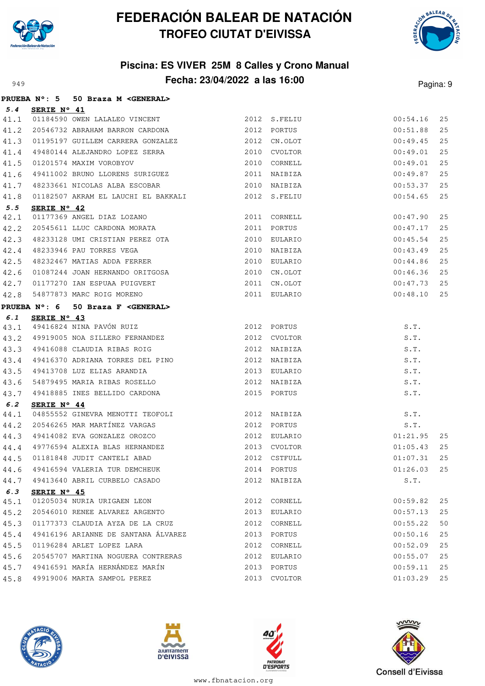



#### **Piscina: ES VIVER 25M 8 Calles y Crono Manual** Pecha: 23/04/2022 a las 16:00

|      |                      | PRUEBA N°: 5 50 Braza M <general></general>             |              |              |             |    |
|------|----------------------|---------------------------------------------------------|--------------|--------------|-------------|----|
| 5.4  | SERIE N° 41          |                                                         |              |              |             |    |
| 41.1 |                      | 01184590 OWEN LALALEO VINCENT 2012 S.FELIU              |              |              | 00:54.16    | 25 |
| 41.2 |                      | 20546732 ABRAHAM BARRON CARDONA                         | 2012 PORTUS  |              | 00:51.88    | 25 |
| 41.3 |                      | 01195197 GUILLEM CARRERA GONZALEZ 2012 CN.OLOT          |              |              | 00:49.45    | 25 |
| 41.4 |                      | 49480144 ALEJANDRO LOPEZ SERRA 2010 CVOLTOR             |              |              | 00:49.01    | 25 |
| 41.5 |                      | 01201574 MAXIM VOROBYOV $2010$ CORNELL                  |              |              | 00:49.01    | 25 |
| 41.6 |                      | 49411002 BRUNO LLORENS SURIGUEZ 2011 NAIBIZA            |              |              | 00:49.87    | 25 |
| 41.7 |                      | 48233661 NICOLAS ALBA ESCOBAR 2010 NAIBIZA              |              |              | 00:53.37    | 25 |
| 41.8 |                      | 01182507 AKRAM EL LAUCHI EL BAKKALI 2012 S.FELIU        |              |              | 00:54.65    | 25 |
| 5.5  | SERIE $N^{\circ}$ 42 |                                                         |              |              |             |    |
| 42.1 |                      | 01177369 ANGEL DIAZ LOZANO                              | 2011 CORNELL |              | 00:47.90    | 25 |
| 42.2 |                      | 20545611 LLUC CARDONA MORATA                            | 2011 PORTUS  |              | 00:47.17    | 25 |
| 42.3 |                      | 48233128 UMI CRISTIAN PEREZ OTA 2010 EULARIO            |              |              | 00:45.54    | 25 |
| 42.4 |                      | 48233946 PAU TORRES VEGA<br>48232467 MATIAS ADDA FERRER |              | 2010 NAIBIZA | 00:43.49    | 25 |
| 42.5 |                      |                                                         |              | 2010 EULARIO | 00:44.86    | 25 |
| 42.6 |                      | 01087244 JOAN HERNANDO ORITGOSA $2010$ CN.OLOT          |              |              | 00:46.36    | 25 |
| 42.7 |                      | 01177270 IAN ESPUAA PUIGVERT 2011 CN.OLOT               |              |              | 00:47.73    | 25 |
| 42.8 |                      | 54877873 MARC ROIG MORENO                               |              | 2011 EULARIO | 00:48.10    | 25 |
|      |                      | PRUEBA N°: 6 50 Braza F <general></general>             |              |              |             |    |
| 6.1  | SERIE Nº 43          |                                                         |              |              |             |    |
| 43.1 |                      | 49416824 NINA PAVÓN RUIZ $2012$ PORTUS                  |              |              | S.T.        |    |
| 43.2 |                      | 49919005 NOA SILLERO FERNANDEZ 2012 CVOLTOR             |              |              | S.T.        |    |
| 43.3 |                      | 49416088 CLAUDIA RIBAS ROIG                             |              | 2012 NAIBIZA | S.T.        |    |
| 43.4 |                      | 49416370 ADRIANA TORRES DEL PINO 2012 NAIBIZA           |              |              | S.T.        |    |
| 43.5 |                      | 49413708 LUZ ELIAS ARANDIA (2013 EULARIO                |              |              | S.T.        |    |
| 43.6 |                      | 54879495 MARIA RIBAS ROSELLO 2012 NAIBIZA               |              |              | S.T.        |    |
| 43.7 |                      | 49418885 INES BELLIDO CARDONA                           |              | 2015 PORTUS  | S.T.        |    |
| 6.2  | SERIE N° 44          |                                                         |              |              |             |    |
| 44.1 |                      |                                                         |              |              | S.T.        |    |
| 44.2 |                      | 20546265 MAR MARTÍNEZ VARGAS 2012 PORTUS                |              |              | S.T.        |    |
| 44.3 |                      | 49414082 EVA GONZALEZ OROZCO<br>2012 EULARIO            |              |              | 01:21.95    | 25 |
| 44.4 |                      | 49776594 ALEXIA BLAS HERNANDEZ                          |              | 2013 CVOLTOR | 01:05.43    | 25 |
|      |                      | 44.5 01181848 JUDIT CANTELI ABAD                        |              | 2012 CSTFULL | 01:07.31 25 |    |
| 44.6 |                      | 49416594 VALERIA TUR DEMCHEUK                           |              | 2014 PORTUS  | 01:26.03    | 25 |
| 44.7 |                      | 49413640 ABRIL CURBELO CASADO                           |              | 2012 NAIBIZA | S.T.        |    |
| 6.3  | SERIE Nº 45          |                                                         |              |              |             |    |
| 45.1 |                      | 01205034 NURIA URIGAEN LEON                             |              | 2012 CORNELL | 00:59.82    | 25 |
| 45.2 |                      | 20546010 RENEE ALVAREZ ARGENTO                          |              | 2013 EULARIO | 00:57.13    | 25 |
| 45.3 |                      | 01177373 CLAUDIA AYZA DE LA CRUZ                        |              | 2012 CORNELL | 00:55.22    | 50 |
| 45.4 |                      | 49416196 ARIANNE DE SANTANA ÁLVAREZ                     |              | 2013 PORTUS  | 00:50.16    | 25 |
| 45.5 |                      | 01196284 ARLET LOPEZ LARA                               |              | 2012 CORNELL | 00:52.09    | 25 |
| 45.6 |                      | 20545707 MARTINA NOGUERA CONTRERAS                      |              | 2012 EULARIO | 00:55.07    | 25 |
| 45.7 |                      | 49416591 MARÍA HERNÁNDEZ MARÍN                          |              | 2013 PORTUS  | 00:59.11    | 25 |
| 45.8 |                      | 49919006 MARTA SAMPOL PEREZ                             |              | 2013 CVOLTOR | 01:03.29    | 25 |







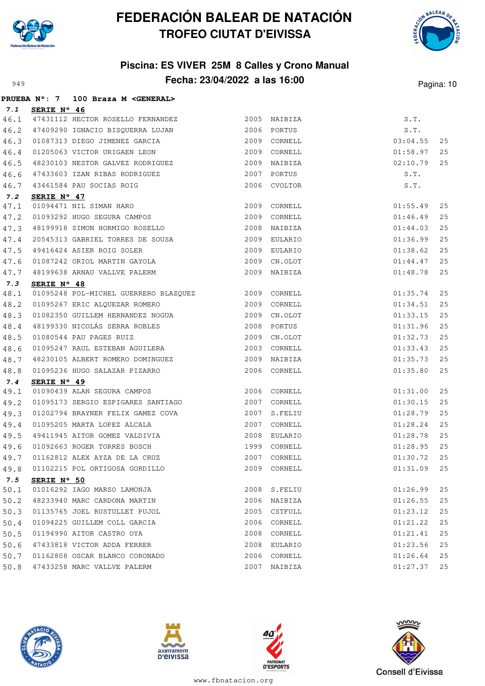



#### **Piscina: ES VIVER 25M 8 Calles y Crono Manual** Pagina: 10

|      |             | PRUEBA Nº: 7 100 Braza M < GENERAL>                                  |      |              |          |    |
|------|-------------|----------------------------------------------------------------------|------|--------------|----------|----|
| 7.1  | SERIE N° 46 |                                                                      |      |              |          |    |
| 46.1 |             | 47431112 HECTOR ROSELLO FERNANDEZ                                    |      | 2005 NAIBIZA | S.T.     |    |
| 46.2 |             | 47409290 IGNACIO BISQUERRA LUJAN                                     |      | 2006 PORTUS  | S.T.     |    |
| 46.3 |             | 01087313 DIEGO JIMENEZ GARCIA                                        |      | 2009 CORNELL | 03:04.55 | 25 |
| 46.4 |             | 01205063 VICTOR URIGAEN LEON<br>40000111                             |      | 2009 CORNELL | 01:58.97 | 25 |
| 46.5 |             | 48230103 NESTOR GALVEZ RODRIGUEZ                                     |      | 2009 NAIBIZA | 02:10.79 | 25 |
| 46.6 |             | 47433603 IZAN RIBAS RODRIGUEZ                                        |      | 2007 PORTUS  | S.T.     |    |
| 46.7 |             | 43461584 PAU SOCIAS ROIG                                             |      | 2006 CVOLTOR | S.T.     |    |
| 7.2  | SERIE Nº 47 |                                                                      |      |              |          |    |
| 47.1 |             | 01094471 NIL SIMAN HARO<br>01093292 HUGO SEGURA CAMPOS               |      | 2009 CORNELL | 01:55.49 | 25 |
| 47.2 |             |                                                                      | 2009 | CORNELL      | 01:46.49 | 25 |
| 47.3 |             | 48199918 SIMON HORMIGO ROSELLO                                       |      | 2008 NAIBIZA | 01:44.03 | 25 |
| 47.4 |             | 20545313 GABRIEL TORRES DE SOUSA                                     |      | 2009 EULARIO | 01:36.99 | 25 |
| 47.5 |             | 49416424 ASIER ROIG SOLER<br>01087242 ORIOL MARTIN GAYOLA            |      | 2009 EULARIO | 01:38.62 | 25 |
| 47.6 |             |                                                                      |      | 2009 CN.OLOT | 01:44.47 | 25 |
| 47.7 |             | 48199638 ARNAU VALLVE PALERM                                         |      | 2009 NAIBIZA | 01:48.78 | 25 |
| 7.3  | SERIE N° 48 |                                                                      |      |              |          |    |
| 48.1 |             | 01095248 POL-MICHEL GUERRERO BLAZQUEZ $2009$ CORNELL                 |      |              | 01:35.74 | 25 |
| 48.2 |             | 01095267 ERIC ALQUEZAR ROMERO                                        |      | 2009 CORNELL | 01:34.51 | 25 |
| 48.3 |             | 01082350 GUILLEM HERNANDEZ NOGUA                                     | 2009 | CN.OLOT      | 01:33.15 | 25 |
| 48.4 |             | 48199330 NICOLÁS SERRA ROBLES<br>01080544 PAU PAGES RUIZ<br>01080544 |      | 2008 PORTUS  | 01:31.96 | 25 |
| 48.5 |             |                                                                      |      | 2009 CN.OLOT | 01:32.73 | 25 |
| 48.6 |             | 01095247 RAUL ESTEBAN AGUILERA                                       |      | 2003 CORNELL | 01:33.43 | 25 |
| 48.7 |             | 48230105 ALBERT ROMERO DOMINGUEZ                                     |      | 2009 NAIBIZA | 01:35.73 | 25 |
| 48.8 |             | 01095236 HUGO SALAZAR PIZARRO                                        |      | 2006 CORNELL | 01:35.80 | 25 |
| 7.4  | SERIE N° 49 |                                                                      |      |              |          |    |
| 49.1 |             | 01090439 ALAN SEGURA CAMPOS                                          |      | 2006 CORNELL | 01:31.00 | 25 |
| 49.2 |             | 01095173 SERGIO ESPIGARES SANTIAGO                                   |      | 2007 CORNELL | 01:30.15 | 25 |
| 49.3 |             | 01202794 BRAYNER FELIX GAMEZ COVA                                    |      | 2007 S.FELIU | 01:28.79 | 25 |
| 49.4 |             | 01095205 MARTA LOPEZ ALCALA                                          | 2007 | CORNELL      | 01:28.24 | 25 |
| 49.5 |             | 49411945 AITOR GOMEZ VALDIVIA                                        |      | 2008 EULARIO | 01:28.78 | 25 |
| 49.6 |             | 01092663 ROGER TORRES BOSCH                                          |      | 1999 CORNELL | 01:28.95 | 25 |
| 49.7 |             | 01162812 ALEX AYZA DE LA CRUZ 2007 CORNELL                           |      |              | 01:30.72 | 25 |
| 49.8 |             | 01102215 POL ORTIGOSA GORDILLO                                       |      | 2009 CORNELL | 01:31.09 | 25 |
| 7.5  | SERIE N° 50 |                                                                      |      |              |          |    |
| 50.1 |             | 01016292 IAGO MARSO LAMONJA                                          |      | 2008 S.FELIU | 01:26.99 | 25 |
| 50.2 |             | 48233940 MARC CARDONA MARTIN                                         |      | 2006 NAIBIZA | 01:26.55 | 25 |
| 50.3 |             | 01135765 JOEL RUSTULLET PUJOL                                        |      | 2005 CSTFULL | 01:23.12 | 25 |
| 50.4 |             | 01094225 GUILLEM COLL GARCIA                                         | 2006 | CORNELL      | 01:21.22 | 25 |
| 50.5 |             | 01194990 AITOR CASTRO OYA                                            | 2008 | CORNELL      | 01:21.41 | 25 |
| 50.6 |             | 47433818 VICTOR ADDA FERRER                                          |      | 2008 EULARIO | 01:23.56 | 25 |
| 50.7 |             | 01162808 OSCAR BLANCO CORONADO                                       |      | 2006 CORNELL | 01:26.64 | 25 |
| 50.8 |             | 47433258 MARC VALLVE PALERM                                          |      | 2007 NAIBIZA | 01:27.37 | 25 |







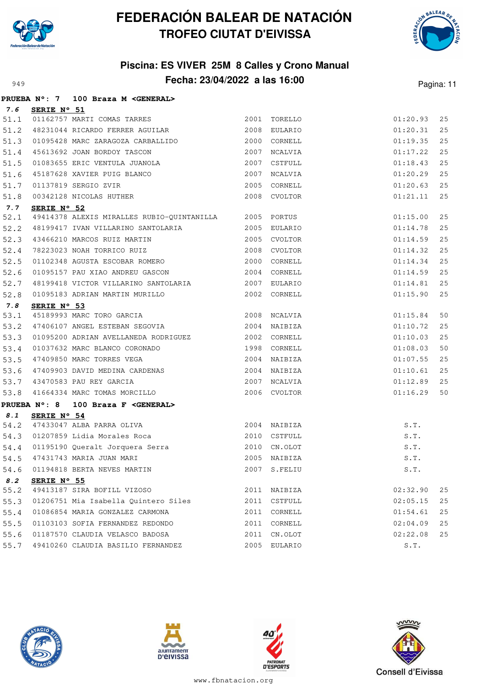



#### **Piscina: ES VIVER 25M 8 Calles y Crono Manual** Pagina: 11

|      |             | PRUEBA N°: 7 100 Braza M <general></general>                                                             |      |              |                          |    |
|------|-------------|----------------------------------------------------------------------------------------------------------|------|--------------|--------------------------|----|
| 7.6  | SERIE N° 51 |                                                                                                          |      |              |                          |    |
| 51.1 |             | 01162757 MARTI COMAS TARRES                                                                              |      | 2001 TORELLO | 01:20.93                 | 25 |
| 51.2 |             | 48231044 RICARDO FERRER AGUILAR                                                                          |      | 2008 EULARIO | 01:20.31                 | 25 |
| 51.3 |             |                                                                                                          |      |              | 01:19.35                 | 25 |
| 51.4 |             |                                                                                                          |      | 2007 NCALVIA | 01:17.22                 | 25 |
| 51.5 |             | 45613692 JOAN BORDOY TASCON<br>01083655 ERIC VENTULA JUANOLA                                             |      | 2007 CSTFULL | 01:18.43                 | 25 |
| 51.6 |             |                                                                                                          | 2007 | NCALVIA      | 01:20.29                 | 25 |
| 51.7 |             |                                                                                                          | 2005 | CORNELL      | 01:20.63                 | 25 |
| 51.8 |             | 45187628 XAVIER PUIG BLANCO<br>01137819 SERGIO ZVIR<br>00342128 NICOLAS HUTHER                           |      | 2008 CVOLTOR | 01:21.11                 | 25 |
| 7.7  | SERIE Nº 52 |                                                                                                          |      |              |                          |    |
| 52.1 |             | 49414378 ALEXIS MIRALLES RUBIO-QUINTANILLA 2005 PORTUS                                                   |      |              | 01:15.00                 | 25 |
| 52.2 |             |                                                                                                          |      |              | 01:14.78                 | 25 |
| 52.3 |             | 43466210 MARCOS RUIZ MARTIN 2005 CVOLTOR<br>78223023 NOAH TORRICO RUIZ 2008 CVOLTOR<br>21122212 ACVIET - |      |              | 01:14.59                 | 25 |
| 52.4 |             |                                                                                                          |      |              | 01:14.32                 | 25 |
| 52.5 |             | 01102348 AGUSTA ESCOBAR ROMERO                                                                           |      | 2000 CORNELL | 01:14.34                 | 25 |
| 52.6 |             | 01095157 PAU XIAO ANDREU GASCON 2004                                                                     |      | CORNELL      | 01:14.59                 | 25 |
| 52.7 |             | 48199418 VICTOR VILLARINO SANTOLARIA 62007 EULARIO                                                       |      |              | 01:14.81                 | 25 |
| 52.8 |             | 01095183 ADRIAN MARTIN MURILLO                                                                           |      | 2002 CORNELL | 01:15.90                 | 25 |
| 7.8  | SERIE Nº 53 |                                                                                                          |      |              |                          |    |
| 53.1 |             | <u>cente n<sup>-</sup> 00</u><br>45189993 MARC TORO GARCIA (2008 NCALVIA                                 |      |              | 01:15.84                 | 50 |
| 53.2 |             |                                                                                                          |      |              | 01:10.72                 | 25 |
| 53.3 |             | 01095200 ADRIAN AVELLANEDA RODRIGUEZ $2002$ CORNELL                                                      |      |              | 01:10.03                 | 25 |
| 53.4 |             | 01037632 MARC BLANCO CORONADO<br>47409850 MARC TORRES VEGA                                               |      | 1998 CORNELL | 01:08.03                 | 50 |
| 53.5 |             |                                                                                                          | 2004 | NAIBIZA      | 01:07.55                 | 25 |
| 53.6 |             |                                                                                                          |      | 2004 NAIBIZA | 01:10.61                 | 25 |
|      |             | 53.7 43470583 PAU REY GARCIA                                                                             |      | 2007 NCALVIA | 01:12.89                 | 25 |
| 53.8 |             | 47409903 DAVID MEDINA CARDENAS<br>43470583 PAU REY GARCIA<br>41664334 MARC TOMAS MORCILLO                |      | 2006 CVOLTOR | 01:16.29                 | 50 |
|      |             | PRUEBA N°: 8 100 Braza F <general></general>                                                             |      |              |                          |    |
| 8.1  | SERIE N° 54 |                                                                                                          |      |              |                          |    |
|      |             | 54.2 47433047 ALBA PARRA OLIVA 2004 NAIBIZA<br>54.3 01207859 Lidia Morales Roca 2010 CSTFULL             |      |              | S.T.                     |    |
|      |             |                                                                                                          |      |              | S.T.                     |    |
|      |             | 54.4 01195190 Queralt Jorquera Serra 2010 CN.OLOT                                                        |      |              | S.T.<br>$S.T.$<br>$S.T.$ |    |
|      |             | 54.5 47431743 MARIA JUAN MARI 2005 NAIBIZA                                                               |      |              |                          |    |
| 54.6 |             | 01194818 BERTA NEVES MARTIN                                                                              |      | 2007 S.FELIU | S.T.                     |    |
| 8.2  | SERIE N° 55 |                                                                                                          |      |              |                          |    |
| 55.2 |             | 49413187 SIRA BOFILL VIZOSO                                                                              |      | 2011 NAIBIZA | 02:32.90                 | 25 |
| 55.3 |             | 01206751 Mia Isabella Quintero Siles                                                                     |      | 2011 CSTFULL | 02:05.15                 | 25 |
| 55.4 |             | 01086854 MARIA GONZALEZ CARMONA                                                                          |      | 2011 CORNELL | 01:54.61                 | 25 |
| 55.5 |             | 01103103 SOFIA FERNANDEZ REDONDO                                                                         |      | 2011 CORNELL | 02:04.09                 | 25 |
| 55.6 |             | 01187570 CLAUDIA VELASCO BADOSA                                                                          |      | 2011 CN.OLOT | 02:22.08                 | 25 |
| 55.7 |             | 49410260 CLAUDIA BASILIO FERNANDEZ                                                                       |      | 2005 EULARIO | S.T.                     |    |







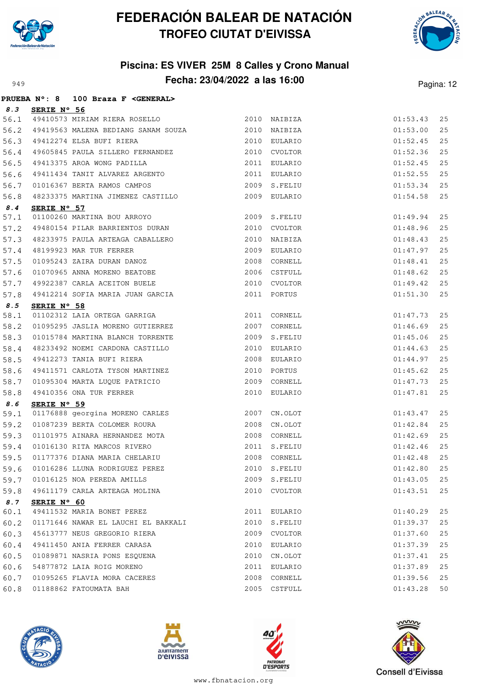



#### **Piscina: ES VIVER 25M 8 Calles y Crono Manual** Pagina: 12 **Fecha: 23/04/2022 a las 16:00** Pagina: 12

|      |                      | PRUEBA N°: 8 100 Braza F <general></general>                                                                        |                |              |          |    |
|------|----------------------|---------------------------------------------------------------------------------------------------------------------|----------------|--------------|----------|----|
| 8.3  | SERIE Nº 56          |                                                                                                                     |                |              |          |    |
| 56.1 |                      | 49410573 MIRIAM RIERA ROSELLO                                                                                       |                | 2010 NAIBIZA | 01:53.43 | 25 |
| 56.2 |                      | 49419563 MALENA BEDIANG SANAM SOUZA 2010 NAIBIZA                                                                    |                |              | 01:53.00 | 25 |
| 56.3 |                      | 49412274 ELSA BUFI RIERA                                                                                            | 2010 EULARIO   |              | 01:52.45 | 25 |
| 56.4 |                      | 49605845 PAULA SILLERO FERNANDEZ 2010 CVOLTOR                                                                       |                |              | 01:52.36 | 25 |
| 56.5 |                      | 49413375 AROA WONG PADILLA                                                                                          |                | 2011 EULARIO | 01:52.45 | 25 |
| 56.6 |                      | 49411434 TANIT ALVAREZ ARGENTO                                                                                      |                | 2011 EULARIO | 01:52.55 | 25 |
| 56.7 |                      | 01016367 BERTA RAMOS CAMPOS                                                                                         | $2009$ S.FELIU |              | 01:53.34 | 25 |
| 56.8 |                      | 48233375 MARTINA JIMENEZ CASTILLO 2009 EULARIO                                                                      |                |              | 01:54.58 | 25 |
| 8.4  | SERIE Nº 57          |                                                                                                                     |                |              |          |    |
| 57.1 |                      | 01100260 MARTINA BOU ARROYO                                                                                         |                | 2009 S.FELIU | 01:49.94 | 25 |
| 57.2 |                      | 49480154 PILAR BARRIENTOS DURAN                                                                                     |                | 2010 CVOLTOR | 01:48.96 | 25 |
| 57.3 |                      |                                                                                                                     |                |              | 01:48.43 | 25 |
| 57.4 |                      | 46233373 INSERT MOREMONIST<br>18199923 MAR TUR FERRER<br>01095243 ZAIRA DURAN DANOZ<br>01070965 ANNA MORENO BEATOBE |                | 2009 EULARIO | 01:47.97 | 25 |
| 57.5 |                      |                                                                                                                     |                | 2008 CORNELL | 01:48.41 | 25 |
| 57.6 |                      |                                                                                                                     |                | 2006 CSTFULL | 01:48.62 | 25 |
| 57.7 |                      | 49922387 CARLA ACEITON BUELE                                                                                        |                | 2010 CVOLTOR | 01:49.42 | 25 |
| 57.8 |                      | 49412214 SOFIA MARIA JUAN GARCIA                                                                                    |                | 2011 PORTUS  | 01:51.30 | 25 |
| 8.5  | SERIE N° 58          |                                                                                                                     |                |              |          |    |
| 58.1 |                      | 01102312 LAIA ORTEGA GARRIGA                                                                                        |                | 2011 CORNELL | 01:47.73 | 25 |
| 58.2 |                      | 01095295 JASLIA MORENO GUTIERREZ                                                                                    |                | 2007 CORNELL | 01:46.69 | 25 |
| 58.3 |                      |                                                                                                                     |                |              | 01:45.06 | 25 |
| 58.4 |                      | 48233492 NOEMI CARDONA CASTILLO                                                                                     |                | 2010 EULARIO | 01:44.63 | 25 |
| 58.5 |                      | 49412273 TANIA BUFI RIERA                                                                                           |                | 2008 EULARIO | 01:44.97 | 25 |
| 58.6 |                      | 49411571 CARLOTA TYSON MARTINEZ                                                                                     |                | 2010 PORTUS  | 01:45.62 | 25 |
| 58.7 |                      |                                                                                                                     |                | 2009 CORNELL | 01:47.73 | 25 |
| 58.8 |                      | 01095304 MARTA LUQUE PATRICIO<br>49410356 ONA TUR FERRER                                                            |                | 2010 EULARIO | 01:47.81 | 25 |
| 8.6  | SERIE $N^{\circ}$ 59 |                                                                                                                     |                |              |          |    |
| 59.1 |                      | 01176888 georgina MORENO CARLES (2007 CN.OLOT 01087239 BERTA COLOMER ROURA                                          |                |              | 01:43.47 | 25 |
| 59.2 |                      |                                                                                                                     |                |              | 01:42.84 | 25 |
| 59.3 |                      | 01101975 AINARA HERNANDEZ MOTA 62008 CORNELL                                                                        |                |              | 01:42.69 | 25 |
| 59.4 |                      | 01016130 RITA MARCOS RIVERO                                                                                         |                | 2011 S.FELIU | 01:42.46 | 25 |
|      |                      | 59.5 01177376 DIANA MARIA CHELARIU 4008 2008 CORNELL 601:42.48 25                                                   |                |              |          |    |
| 59.6 |                      | 01016286 LLUNA RODRIGUEZ PEREZ                                                                                      |                | 2010 S.FELIU | 01:42.80 | 25 |
| 59.7 |                      | 01016125 NOA PEREDA AMILLS                                                                                          |                | 2009 S.FELIU | 01:43.05 | 25 |
| 59.8 |                      | 49611179 CARLA ARTEAGA MOLINA                                                                                       |                | 2010 CVOLTOR | 01:43.51 | 25 |
| 8.7  | SERIE N° 60          |                                                                                                                     |                |              |          |    |
| 60.1 |                      | 49411532 MARIA BONET PEREZ                                                                                          |                | 2011 EULARIO | 01:40.29 | 25 |
| 60.2 |                      | 01171646 NAWAR EL LAUCHI EL BAKKALI                                                                                 |                | 2010 S.FELIU | 01:39.37 | 25 |
| 60.3 |                      | 45613777 NEUS GREGORIO RIERA                                                                                        | 2009           | CVOLTOR      | 01:37.60 | 25 |
| 60.4 |                      | 49411450 ANIA FERRER CARASA                                                                                         | 2010           | EULARIO      | 01:37.39 | 25 |
| 60.5 |                      | 01089871 NASRIA PONS ESQUENA                                                                                        | 2010           | CN.OLOT      | 01:37.41 | 25 |
| 60.6 |                      | 54877872 LAIA ROIG MORENO                                                                                           | 2011           | EULARIO      | 01:37.89 | 25 |
| 60.7 |                      | 01095265 FLAVIA MORA CACERES                                                                                        | 2008           | CORNELL      | 01:39.56 | 25 |
| 60.8 |                      | 01188862 FATOUMATA BAH                                                                                              | 2005           | CSTFULL      | 01:43.28 | 50 |







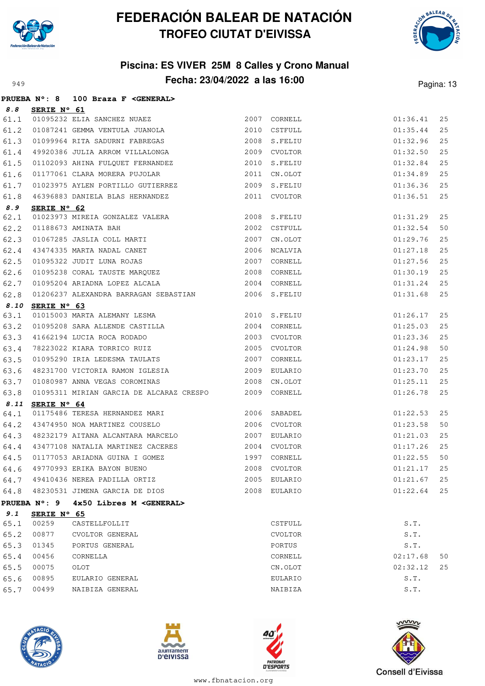



#### **Piscina: ES VIVER 25M 8 Calles y Crono Manual Fecha: 23/04/2022 a las 16:00** Pagina: 13

|      | <b>PRUEBA N°: 8</b> | 100 Braza F < GENERAL>                                                                                       |                |               |    |
|------|---------------------|--------------------------------------------------------------------------------------------------------------|----------------|---------------|----|
| 8.8  | SERIE N° 61         |                                                                                                              |                |               |    |
| 61.1 |                     | 01095232 ELIA SANCHEZ NUAEZ                                                                                  | 2007 CORNELL   | 01:36.41      | 25 |
| 61.2 |                     | 01087241 GEMMA VENTULA JUANOLA                                                                               | 2010 CSTFULL   | 01:35.44      | 25 |
| 61.3 |                     | 01099964 RITA SADURNI FABREGAS 2008 S.FELIU                                                                  |                | 01:32.96      | 25 |
| 61.4 |                     | 49920386 JULIA ARROM VILLALONGA                                                                              | 2009 CVOLTOR   | 01:32.50      | 25 |
| 61.5 |                     | 01102093 AHINA FULQUET FERNANDEZ $2010$ S.FELIU                                                              |                | 01:32.84      | 25 |
| 61.6 |                     | 01177061 CLARA MORERA PUJOLAR 2011 CN.OLOT                                                                   |                | 01:34.89      | 25 |
| 61.7 |                     | 01023975 AYLEN PORTILLO GUTIERREZ 2009 S.FELIU                                                               |                | 01:36.36      | 25 |
| 61.8 |                     | 46396883 DANIELA BLAS HERNANDEZ                                                                              | 2011 CVOLTOR   | 01:36.51      | 25 |
| 8.9  | SERIE N° 62         |                                                                                                              |                |               |    |
| 62.1 |                     | 01023973 MIREIA GONZALEZ VALERA $2008$ S.FELIU                                                               |                | 01:31.29      | 25 |
| 62.2 |                     |                                                                                                              | 2002 CSTFULL   | 01:32.54      | 50 |
| 62.3 |                     |                                                                                                              | 2007 CN.OLOT   | 01:29.76      | 25 |
| 62.4 |                     | 01023373 MINATA BAH<br>01067285 JASLIA COLL MARTI<br>43474335 MARTA NADAL CANET<br>01095322 JUDIT LUNA ROJAS | 2006 NCALVIA   | 01:27.18      | 25 |
| 62.5 |                     |                                                                                                              | 2007 CORNELL   | 01:27.56      | 25 |
| 62.6 |                     | 01095238 CORAL TAUSTE MARQUEZ                                                                                | 2008 CORNELL   | 01:30.19      | 25 |
| 62.7 |                     | 01095204 ARIADNA LOPEZ ALCALA 2004 CORNELL                                                                   |                | 01:31.24      | 25 |
| 62.8 |                     | 01206237 ALEXANDRA BARRAGAN SEBASTIAN 2006 S.FELIU                                                           |                | 01:31.68      | 25 |
| 8.10 | SERIE N° 63         |                                                                                                              |                |               |    |
| 63.1 |                     | 01015003 MARTA ALEMANY LESMA 2010 S.FELIU                                                                    |                | 01:26.17      | 25 |
| 63.2 |                     | 01095208 SARA ALLENDE CASTILLA $2004$ CORNELL                                                                |                | 01:25.03      | 25 |
| 63.3 |                     |                                                                                                              |                | 01:23.36      | 25 |
| 63.4 |                     |                                                                                                              |                | 01:24.98      | 50 |
| 63.5 |                     | 01095290 IRIA LEDESMA TAULATS 2007                                                                           | CORNELL        | 01:23.17      | 25 |
| 63.6 |                     | 48231700 VICTORIA RAMON IGLESIA 2009 EULARIO                                                                 |                | 01:23.70      | 25 |
| 63.7 |                     | 01080987 ANNA VEGAS COROMINAS                                                                                | 2008 CN.OLOT   | 01:25.11      | 25 |
| 63.8 |                     | 01095311 MIRIAN GARCIA DE ALCARAZ CRESPO 2009 CORNELL                                                        |                | 01:26.78      | 25 |
| 8.11 | SERIE N° 64         |                                                                                                              |                |               |    |
| 64.1 |                     |                                                                                                              |                | 01:22.53      | 25 |
|      |                     | 64.2 43474950 NOA MARTINEZ COUSELO 2006 CVOLTOR                                                              |                | 01:23.58      | 50 |
|      |                     | 64.3 48232179 AITANA ALCANTARA MARCELO                                                                       | 2007 EULARIO   | 01:21.03      | 25 |
|      |                     | 64.4 43477108 NATALIA MARTINEZ CACERES 2004 CVOLTOR                                                          |                | 01:17.26      | 25 |
| 64.5 |                     |                                                                                                              |                | $01:22.55$ 50 |    |
|      |                     | 64.6 49770993 ERIKA BAYON BUENO                                                                              | 2008 CVOLTOR   | 01:21.17      | 25 |
|      |                     | 64.7 49410436 NEREA PADILLA ORTIZ                                                                            | 2005 EULARIO   | 01:21.67      | 25 |
|      |                     | 64.8 48230531 JIMENA GARCIA DE DIOS                                                                          | 2008 EULARIO   | 01:22.64      | 25 |
|      | PRUEBA N°: 9        | 4x50 Libres M < GENERAL>                                                                                     |                |               |    |
| 9.1  | SERIE Nº 65         |                                                                                                              |                |               |    |
| 65.1 | 00259               | CASTELLFOLLIT                                                                                                | CSTFULL        | S.T.          |    |
| 65.2 | 00877               | CVOLTOR GENERAL                                                                                              | CVOLTOR        | S.T.          |    |
| 65.3 | 01345               | PORTUS GENERAL                                                                                               | PORTUS         | S.T.          |    |
| 65.4 | 00456               | CORNELLA                                                                                                     | CORNELL        | 02:17.68      | 50 |
| 65.5 | 00075               | OLOT                                                                                                         | CN.OLOT        | 02:32.12      | 25 |
| 65.6 | 00895               | EULARIO GENERAL                                                                                              | <b>EULARIO</b> | S.T.          |    |









www.fbnatacion.org

65.7 00499 NAIBIZA GENERAL NAIBIZA S.T.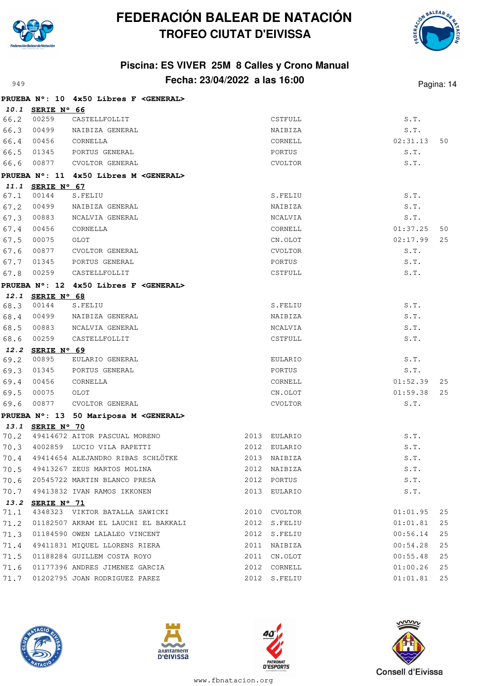



#### **Piscina: ES VIVER 25M 8 Calles y Crono Manual** Pagina: 14

|      |                  | PRUEBA N°: 10 4x50 Libres F < GENERAL>          |      |              |               |    |
|------|------------------|-------------------------------------------------|------|--------------|---------------|----|
|      | 10.1 SERIE N° 66 |                                                 |      |              |               |    |
| 66.2 | 00259            | CASTELLFOLLIT                                   |      | CSTFULL      | S.T.          |    |
| 66.3 | 00499            | NAIBIZA GENERAL                                 |      | NAIBIZA      | S.T.          |    |
| 66.4 | 00456            | CORNELLA                                        |      | CORNELL      | 02:31.13      | 50 |
| 66.5 | 01345            | PORTUS GENERAL                                  |      | PORTUS       | S.T.          |    |
|      | 66.6 00877       | CVOLTOR GENERAL                                 |      | CVOLTOR      | S.T.          |    |
|      |                  | PRUEBA N°: 11 4x50 Libres M <general></general> |      |              |               |    |
|      | 11.1 SERIE N° 67 |                                                 |      |              |               |    |
| 67.1 | 00144            | S.FELIU                                         |      | S.FELIU      | S.T.          |    |
| 67.2 | 00499            | NAIBIZA GENERAL                                 |      | NAIBIZA      | S.T.          |    |
| 67.3 | 00883            | NCALVIA GENERAL                                 |      | NCALVIA      | S.T.          |    |
| 67.4 | 00456            | CORNELLA                                        |      | CORNELL      | 01:37.25      | 50 |
| 67.5 | 00075            | OLOT                                            |      | CN.OLOT      | 02:17.99      | 25 |
| 67.6 | 00877            | CVOLTOR GENERAL                                 |      | CVOLTOR      | S.T.          |    |
| 67.7 | 01345            | PORTUS GENERAL                                  |      | PORTUS       | S.T.          |    |
| 67.8 | 00259            | CASTELLFOLLIT                                   |      | CSTFULL      | S.T.          |    |
|      |                  | PRUEBA N°: 12 4x50 Libres F <general></general> |      |              |               |    |
|      | 12.1 SERIE N° 68 |                                                 |      |              |               |    |
| 68.3 | 00144            | S.FELIU                                         |      | S.FELIU      | S.T.          |    |
| 68.4 | 00499            | NAIBIZA GENERAL                                 |      | NAIBIZA      | S.T.          |    |
| 68.5 | 00883            | NCALVIA GENERAL                                 |      | NCALVIA      | S.T.          |    |
| 68.6 | 00259            | CASTELLFOLLIT                                   |      | CSTFULL      | S.T.          |    |
|      | 12.2 SERIE Nº 69 |                                                 |      |              |               |    |
| 69.2 | 00895            | EULARIO GENERAL                                 |      | EULARIO      | S.T.          |    |
| 69.3 | 01345            | PORTUS GENERAL                                  |      | PORTUS       | S.T.          |    |
| 69.4 | 00456            | CORNELLA                                        |      | CORNELL      | 01:52.39      | 25 |
| 69.5 | 00075            | OLOT                                            |      | CN.OLOT      | 01:59.38      | 25 |
| 69.6 | 00877            | CVOLTOR GENERAL                                 |      | CVOLTOR      | S.T.          |    |
|      |                  | PRUEBA N°: 13 50 Mariposa M < GENERAL>          |      |              |               |    |
|      | 13.1 SERIE N° 70 |                                                 |      |              |               |    |
|      |                  | 70.2 49414672 AITOR PASCUAL MORENO              |      | 2013 EULARIO | S.T.          |    |
|      |                  | 70.3 4002859 LUCIO VILA RAPETTI                 |      | 2012 EULARIO | S.T.          |    |
|      |                  | 70.4 49414654 ALEJANDRO RIBAS SCHLÖTKE          |      | 2013 NAIBIZA | S.T.          |    |
| 70.5 |                  | 49413267 ZEUS MARTOS MOLINA                     |      | 2012 NAIBIZA | S.T.          |    |
| 70.6 |                  | 20545722 MARTIN BLANCO PRESA                    |      | 2012 PORTUS  | S.T.          |    |
| 70.7 |                  | 49413832 IVAN RAMOS IKKONEN                     |      | 2013 EULARIO | S.T.          |    |
| 13.2 | SERIE N° 71      |                                                 |      |              |               |    |
| 71.1 |                  | 4348323 VIKTOR BATALLA SAWICKI                  |      | 2010 CVOLTOR | 01:01.95      | 25 |
| 71.2 |                  | 01182507 AKRAM EL LAUCHI EL BAKKALI             | 2012 | S.FELIU      | 01:01.81      | 25 |
| 71.3 |                  | 01184590 OWEN LALALEO VINCENT                   | 2012 | S.FELIU      | 00:56.14      | 25 |
| 71.4 |                  | 49411831 MIQUEL LLORENS RIERA                   | 2011 | NAIBIZA      | 00:54.28      | 25 |
| 71.5 |                  | 01188284 GUILLEM COSTA ROYO                     | 2011 | CN.OLOT      | 00:55.48      | 25 |
|      |                  | 71.6 01177396 ANDRES JIMENEZ GARCIA             |      | 2012 CORNELL | $01:00.26$ 25 |    |









www.fbnatacion.org

71.7 01202795 JOAN RODRIGUEZ PAREZ 2012 S.FELIU 01:01.81 25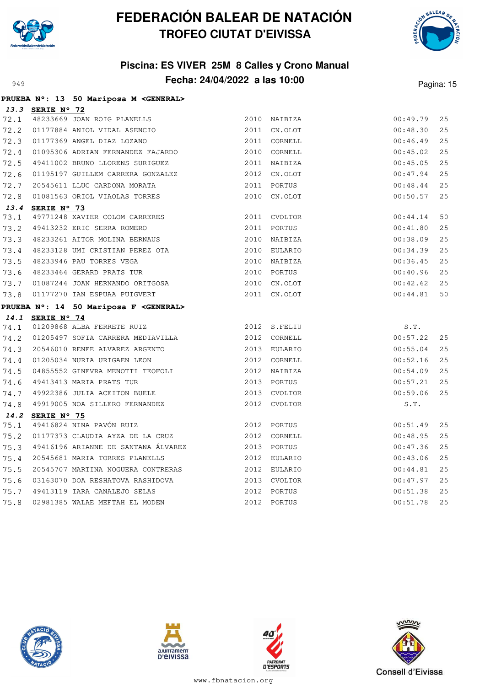



#### **Piscina: ES VIVER 25M 8 Calles y Crono Manual** Pagina: 15

|      |                  | PRUEBA Nº: 13 50 Mariposa M <general></general> |              |          |    |
|------|------------------|-------------------------------------------------|--------------|----------|----|
|      | 13.3 SERIE Nº 72 |                                                 |              |          |    |
| 72.1 |                  | 48233669 JOAN ROIG PLANELLS                     | 2010 NAIBIZA | 00:49.79 | 25 |
| 72.2 |                  | 01177884 ANIOL VIDAL ASENCIO                    | 2011 CN.OLOT | 00:48.30 | 25 |
| 72.3 |                  | 01177369 ANGEL DIAZ LOZANO                      | 2011 CORNELL | 00:46.49 | 25 |
| 72.4 |                  | 01095306 ADRIAN FERNANDEZ FAJARDO               | 2010 CORNELL | 00:45.02 | 25 |
| 72.5 |                  | 49411002 BRUNO LLORENS SURIGUEZ                 | 2011 NAIBIZA | 00:45.05 | 25 |
| 72.6 |                  | 01195197 GUILLEM CARRERA GONZALEZ               | 2012 CN.OLOT | 00:47.94 | 25 |
| 72.7 |                  | 20545611 LLUC CARDONA MORATA                    | 2011 PORTUS  | 00:48.44 | 25 |
| 72.8 |                  | 01081563 ORIOL VIAOLAS TORRES                   | 2010 CN.OLOT | 00:50.57 | 25 |
|      | 13.4 SERIE Nº 73 |                                                 |              |          |    |
| 73.1 |                  | 49771248 XAVIER COLOM CARRERES                  | 2011 CVOLTOR | 00:44.14 | 50 |
| 73.2 |                  | 49413232 ERIC SERRA ROMERO                      | 2011 PORTUS  | 00:41.80 | 25 |
| 73.3 |                  | 48233261 AITOR MOLINA BERNAUS                   | 2010 NAIBIZA | 00:38.09 | 25 |
| 73.4 |                  | 48233128 UMI CRISTIAN PEREZ OTA                 | 2010 EULARIO | 00:34.39 | 25 |
| 73.5 |                  | 48233946 PAU TORRES VEGA                        | 2010 NAIBIZA | 00:36.45 | 25 |
| 73.6 |                  | 48233464 GERARD PRATS TUR                       | 2010 PORTUS  | 00:40.96 | 25 |
| 73.7 |                  | 01087244 JOAN HERNANDO ORITGOSA                 | 2010 CN.OLOT | 00:42.62 | 25 |
| 73.8 |                  | 01177270 IAN ESPUAA PUIGVERT                    | 2011 CN.OLOT | 00:44.81 | 50 |
|      |                  | PRUEBA N°: 14 50 Mariposa F <general></general> |              |          |    |
|      | 14.1 SERIE Nº 74 |                                                 |              |          |    |
| 74.1 |                  | 01209868 ALBA FERRETE RUIZ                      | 2012 S.FELIU | S.T.     |    |
| 74.2 |                  | 01205497 SOFIA CARRERA MEDIAVILLA               | 2012 CORNELL | 00:57.22 | 25 |
| 74.3 |                  | 20546010 RENEE ALVAREZ ARGENTO                  | 2013 EULARIO | 00:55.04 | 25 |
| 74.4 |                  | 01205034 NURIA URIGAEN LEON                     | 2012 CORNELL | 00:52.16 | 25 |
| 74.5 |                  | 04855552 GINEVRA MENOTTI TEOFOLI                | 2012 NAIBIZA | 00:54.09 | 25 |
| 74.6 |                  | 49413413 MARIA PRATS TUR                        | 2013 PORTUS  | 00:57.21 | 25 |
| 74.7 |                  | 49922386 JULIA ACEITON BUELE                    | 2013 CVOLTOR | 00:59.06 | 25 |
| 74.8 |                  | 49919005 NOA SILLERO FERNANDEZ                  | 2012 CVOLTOR | S.T.     |    |
|      | 14.2 SERIE Nº 75 |                                                 |              |          |    |
| 75.1 |                  | 49416824 NINA PAVÓN RUIZ                        | 2012 PORTUS  | 00:51.49 | 25 |
| 75.2 |                  | 01177373 CLAUDIA AYZA DE LA CRUZ                | 2012 CORNELL | 00:48.95 | 25 |
| 75.3 |                  | 49416196 ARIANNE DE SANTANA ÁLVAREZ             | 2013 PORTUS  | 00:47.36 | 25 |
| 75.4 |                  | 20545681 MARIA TORRES PLANELLS                  | 2012 EULARIO | 00:43.06 | 25 |
| 75.5 |                  | 20545707 MARTINA NOGUERA CONTRERAS              | 2012 EULARIO | 00:44.81 | 25 |
| 75.6 |                  | 03163070 DOA RESHATOVA RASHIDOVA                | 2013 CVOLTOR | 00:47.97 | 25 |
| 75.7 |                  | 49413119 IARA CANALEJO SELAS                    | 2012 PORTUS  | 00:51.38 | 25 |
| 75.8 |                  | 02981385 WALAE MEFTAH EL MODEN                  | 2012 PORTUS  | 00:51.78 | 25 |







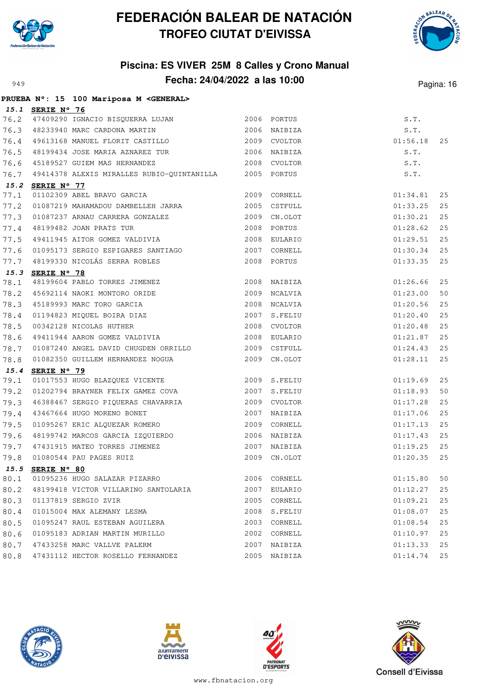



#### **Piscina: ES VIVER 25M 8 Calles y Crono Manual** Pagina: 16

|      |                  | PRUEBA N°: 15 100 Mariposa M <general></general>                                                              |      |              |          |    |
|------|------------------|---------------------------------------------------------------------------------------------------------------|------|--------------|----------|----|
|      | 15.1 SERIE N° 76 |                                                                                                               |      |              |          |    |
|      |                  |                                                                                                               |      |              | S.T.     |    |
|      |                  | 76.2 47409290 IGNACIO BISQUERRA LUJAN 1999 2006 PORTUS<br>76.3 48233940 MARC CARDONA MARTIN 1999 2006 NAIBIZA |      |              | S.T.     |    |
|      |                  | 76.4 49613168 MANUEL FLORIT CASTILLO                                                                          |      | 2009 CVOLTOR | 01:56.18 | 25 |
|      |                  | 76.5 48199434 JOSE MARIA AZNAREZ TUR                                                                          |      | 2006 NAIBIZA | S.T.     |    |
|      |                  | 76.6 45189527 GUIEM MAS HERNANDEZ                                                                             |      | 2008 CVOLTOR | S.T.     |    |
|      |                  | 76.7 49414378 ALEXIS MIRALLES RUBIO-QUINTANILLA 2005 PORTUS                                                   |      |              | S.T.     |    |
|      | 15.2 SERIE Nº 77 |                                                                                                               |      |              |          |    |
| 77.1 |                  | 01102309 ABEL BRAVO GARCIA                                                                                    | 2009 | CORNELL      | 01:34.81 | 25 |
| 77.2 |                  | 01087219 MAHAMADOU DAMBELLEH JARRA 2005 CSTFULL                                                               |      |              | 01:33.25 | 25 |
| 77.3 |                  |                                                                                                               |      |              | 01:30.21 | 25 |
| 77.4 |                  |                                                                                                               |      |              | 01:28.62 | 25 |
| 77.5 |                  |                                                                                                               |      |              | 01:29.51 | 25 |
| 77.6 |                  | 01095173 SERGIO ESPIGARES SANTIAGO                                                                            |      | 2007 CORNELL | 01:30.34 | 25 |
|      |                  | 77.7 48199330 NICOLÁS SERRA ROBLES                                                                            |      | 2008 PORTUS  | 01:33.35 | 25 |
|      | 15.3 SERIE Nº 78 |                                                                                                               |      |              |          |    |
| 78.1 |                  | 48199604 PABLO TORRES JIMENEZ                                                                                 |      | 2008 NAIBIZA | 01:26.66 | 25 |
|      |                  | 78.2 45692114 NAOKI MONTORO ORIDE                                                                             |      | 2009 NCALVIA | 01:23.00 | 50 |
| 78.3 |                  |                                                                                                               |      | 2008 NCALVIA | 01:20.56 | 25 |
| 78.4 |                  | 45189993 MARC TORO GARCIA<br>01194823 MIQUEL BOIRA DIAZ<br>00342128 NICOLAS HUTHER                            |      | 2007 S.FELIU | 01:20.40 | 25 |
| 78.5 |                  |                                                                                                               | 2008 | CVOLTOR      | 01:20.48 | 25 |
| 78.6 |                  |                                                                                                               |      |              | 01:21.87 | 25 |
| 78.7 |                  | 01087240 ANGEL DAVID CHUGDEN ORRILLO 2009 CSTFULL                                                             |      |              | 01:24.43 | 25 |
| 78.8 |                  | 01082350 GUILLEM HERNANDEZ NOGUA                                                                              |      | 2009 CN.OLOT | 01:28.11 | 25 |
| 15.4 | SERIE N° 79      |                                                                                                               |      |              |          |    |
| 79.1 |                  |                                                                                                               |      |              | 01:19.69 | 25 |
| 79.2 |                  | 01202794 BRAYNER FELIX GAMEZ COVA 2007 S.FELIU                                                                |      |              | 01:18.93 | 50 |
| 79.3 |                  | 46388467 SERGIO PIQUERAS CHAVARRIA<br>43467664 HUGO MORENO BONET                                              |      | 2009 CVOLTOR | 01:17.28 | 25 |
| 79.4 |                  |                                                                                                               |      | 2007 NAIBIZA | 01:17.06 | 25 |
| 79.5 |                  | 01095267 ERIC ALQUEZAR ROMERO                                                                                 | 2009 | CORNELL      | 01:17.13 | 25 |
| 79.6 |                  | 48199742 MARCOS GARCIA IZQUIERDO                                                                              |      | 2006 NAIBIZA | 01:17.43 | 25 |
|      |                  | 79.7 47431915 MATEO TORRES JIMENEZ<br>79.8 01080544 PAU PAGES RUIZ                                            |      | 2007 NAIBIZA | 01:19.25 | 25 |
| 79.8 |                  |                                                                                                               | 2009 | CN.OLOT      | 01:20.35 | 25 |
| 15.5 | SERIE N° 80      |                                                                                                               |      |              |          |    |
| 80.1 |                  | 01095236 HUGO SALAZAR PIZARRO                                                                                 |      | 2006 CORNELL | 01:15.80 | 50 |
| 80.2 |                  | 48199418 VICTOR VILLARINO SANTOLARIA                                                                          | 2007 | EULARIO      | 01:12.27 | 25 |
| 80.3 |                  | 01137819 SERGIO ZVIR                                                                                          |      | 2005 CORNELL | 01:09.21 | 25 |
| 80.4 |                  | 01015004 MAX ALEMANY LESMA                                                                                    |      | 2008 S.FELIU | 01:08.07 | 25 |
| 80.5 |                  | 01095247 RAUL ESTEBAN AGUILERA                                                                                | 2003 | CORNELL      | 01:08.54 | 25 |
| 80.6 |                  | 01095183 ADRIAN MARTIN MURILLO                                                                                | 2002 | CORNELL      | 01:10.97 | 25 |
| 80.7 |                  | 47433258 MARC VALLVE PALERM                                                                                   |      | 2007 NAIBIZA | 01:13.33 | 25 |
| 80.8 |                  | 47431112 HECTOR ROSELLO FERNANDEZ                                                                             |      | 2005 NAIBIZA | 01:14.74 | 25 |







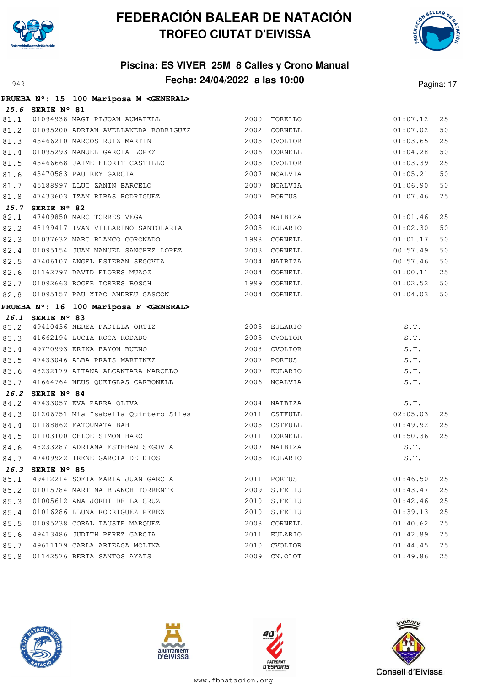



#### **Piscina: ES VIVER 25M 8 Calles y Crono Manual** Pagina: 17 **Fecha: 24/04/2022 a las 10:00** Pagina: 17

|      |                  | PRUEBA N°: 15 100 Mariposa M <general></general>                                                                                                                         |      |              |                                      |    |
|------|------------------|--------------------------------------------------------------------------------------------------------------------------------------------------------------------------|------|--------------|--------------------------------------|----|
|      | 15.6 SERIE N° 81 |                                                                                                                                                                          |      |              |                                      |    |
| 81.1 |                  | 01094938 MAGI PIJOAN AUMATELL                                                                                                                                            |      | 2000 TORELLO | 01:07.12                             | 25 |
| 81.2 |                  | 01095200 ADRIAN AVELLANEDA RODRIGUEZ $2002$ CORNELL                                                                                                                      |      |              | 01:07.02                             | 50 |
| 81.3 |                  | 43466210 MARCOS RUIZ MARTIN 2005 CVOLTOR                                                                                                                                 |      |              | 01:03.65                             | 25 |
| 81.4 |                  | 01095293 MANUEL GARCIA LOPEZ                                                                                                                                             |      | 2006 CORNELL | 01:04.28                             | 50 |
| 81.5 |                  | 43466668 JAIME FLORIT CASTILLO                                                                                                                                           |      | 2005 CVOLTOR | 01:03.39                             | 25 |
| 81.6 |                  |                                                                                                                                                                          |      | 2007 NCALVIA | 01:05.21                             | 50 |
| 81.7 |                  | 43470583 PAU REY GARCIA<br>45188997 LLUC ZANIN BARCELO                                                                                                                   |      | 2007 NCALVIA | 01:06.90                             | 50 |
| 81.8 |                  | 47433603 IZAN RIBAS RODRIGUEZ                                                                                                                                            |      | 2007 PORTUS  | 01:07.46                             | 25 |
|      | 15.7 SERIE N° 82 |                                                                                                                                                                          |      |              |                                      |    |
| 82.1 |                  | 17409850 MARC TORRES VEGA<br>18199417 IVAN VILLARINO SANTOLARIA 18199417 IVAN VILLARINO SANTOLARIA 2005 EULARIO                                                          |      | 2004 NAIBIZA | 01:01.46                             | 25 |
| 82.2 |                  |                                                                                                                                                                          |      |              | 01:02.30                             | 50 |
| 82.3 |                  | 01037632 MARC BLANCO CORONADO                                                                                                                                            |      | 1998 CORNELL | 01:01.17                             | 50 |
| 82.4 |                  | 01095154 JUAN MANUEL SANCHEZ LOPEZ                                                                                                                                       |      | 2003 CORNELL | 00:57.49                             | 50 |
| 82.5 |                  |                                                                                                                                                                          |      |              | 00:57.46                             | 50 |
| 82.6 |                  | 47406107 ANGEL ESTEBAN SEGOVIA (2004)<br>2004 NAIBIZA<br>2004 CORNELL (2004)<br>2004 CORNELL (2004)<br>2004 CORNELL (2004)<br>2004 CORNELL (2004)<br>2004 CORNELL (2004) |      |              | 01:00.11                             | 25 |
| 82.7 |                  |                                                                                                                                                                          |      |              | 01:02.52                             | 50 |
| 82.8 |                  | 01095157 PAU XIAO ANDREU GASCON 2004 CORNELL                                                                                                                             |      |              | 01:04.03                             | 50 |
|      |                  | PRUEBA N°: 16 100 Mariposa F <general></general>                                                                                                                         |      |              |                                      |    |
|      | 16.1 SERIE Nº 83 |                                                                                                                                                                          |      |              |                                      |    |
| 83.2 |                  | 49410436 NEREA PADILLA ORTIZ                                                                                                                                             |      | 2005 EULARIO | S.T.                                 |    |
|      |                  | 83.3 41662194 LUCIA ROCA RODADO                                                                                                                                          |      | 2003 CVOLTOR | S.T.                                 |    |
| 83.4 |                  | 49770993 ERIKA BAYON BUENO                                                                                                                                               |      | 2008 CVOLTOR | S.T.                                 |    |
| 83.5 |                  | 47433046 ALBA PRATS MARTINEZ                                                                                                                                             |      | 2007 PORTUS  | S.T.                                 |    |
| 83.6 |                  | 48232179 AITANA ALCANTARA MARCELO                                                                                                                                        |      | 2007 EULARIO | S.T.                                 |    |
| 83.7 |                  | 41664764 NEUS QUETGLAS CARBONELL                                                                                                                                         |      | 2006 NCALVIA | S.T.                                 |    |
|      | 16.2 SERIE Nº 84 |                                                                                                                                                                          |      |              |                                      |    |
| 84.2 |                  | 2004 NAIBIZA<br>47433057 EVA PARRA OLIVA                                                                                                                                 |      |              | S.T.                                 |    |
| 84.3 |                  | 01206751 Mia Isabella Quintero Siles 612011 CSTFULL                                                                                                                      |      |              | 02:05.03                             | 25 |
| 84.4 |                  | 01188862 FATOUMATA BAH                                                                                                                                                   |      | 2005 CSTFULL | 01:49.92                             | 25 |
| 84.5 |                  | 01103100 CHLOE SIMON HARO                                                                                                                                                |      | 2011 CORNELL | 01:50.36                             | 25 |
| 84.6 |                  | 48233287 ADRIANA ESTEBAN SEGOVIA                                                                                                                                         |      | 2007 NAIBIZA | S.T.                                 |    |
|      |                  | 84.7 47409922 IRENE GARCIA DE DIOS                                                                                                                                       |      | 2005 EULARIO | $\texttt{S} \centerdot \texttt{T}$ . |    |
| 16.3 | SERIE N° 85      |                                                                                                                                                                          |      |              |                                      |    |
| 85.1 |                  | 49412214 SOFIA MARIA JUAN GARCIA                                                                                                                                         | 2011 | PORTUS       | 01:46.50                             | 25 |
| 85.2 |                  | 01015784 MARTINA BLANCH TORRENTE                                                                                                                                         | 2009 | S.FELIU      | 01:43.47                             | 25 |
| 85.3 |                  | 01005612 ANA JORDI DE LA CRUZ                                                                                                                                            | 2010 | S.FELIU      | 01:42.46                             | 25 |
| 85.4 |                  | 01016286 LLUNA RODRIGUEZ PEREZ                                                                                                                                           | 2010 | S.FELIU      | 01:39.13                             | 25 |
| 85.5 |                  | 01095238 CORAL TAUSTE MARQUEZ                                                                                                                                            | 2008 | CORNELL      | 01:40.62                             | 25 |
| 85.6 |                  | 49413486 JUDITH PEREZ GARCIA                                                                                                                                             | 2011 | EULARIO      | 01:42.89                             | 25 |
| 85.7 |                  | 49611179 CARLA ARTEAGA MOLINA                                                                                                                                            | 2010 | CVOLTOR      | 01:44.45                             | 25 |
| 85.8 |                  | 01142576 BERTA SANTOS AYATS                                                                                                                                              | 2009 | CN.OLOT      | 01:49.86                             | 25 |







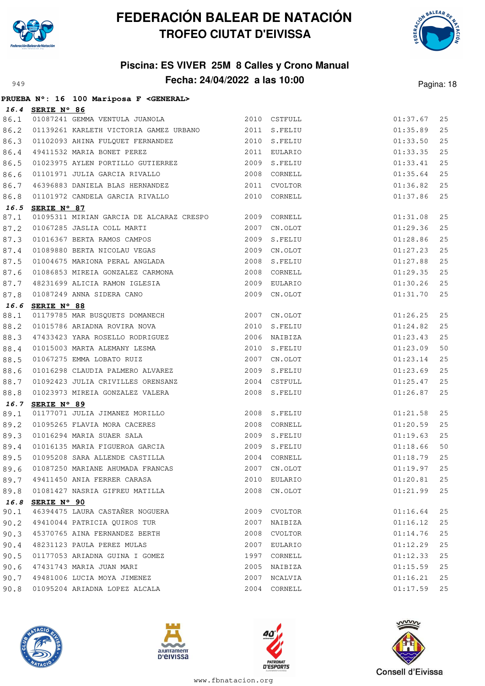



#### **Piscina: ES VIVER 25M 8 Calles y Crono Manual** Pagina: 18

|      |                  | PRUEBA N°: 16 100 Mariposa F <general></general>                                              |      |              |          |      |
|------|------------------|-----------------------------------------------------------------------------------------------|------|--------------|----------|------|
|      | 16.4 SERIE N° 86 |                                                                                               |      |              |          |      |
| 86.1 |                  | 01087241 GEMMA VENTULA JUANOLA 2010 CSTFULL                                                   |      |              | 01:37.67 | 25   |
| 86.2 |                  | 01139261 KARLETH VICTORIA GAMEZ URBANO 2011 S.FELIU                                           |      |              | 01:35.89 | 25   |
| 86.3 |                  |                                                                                               |      |              | 01:33.50 | 25   |
| 86.4 |                  |                                                                                               |      |              | 01:33.35 | 25   |
| 86.5 |                  | 01023975 AYLEN PORTILLO GUTIERREZ 2009 S.FELIU                                                |      |              | 01:33.41 | 25   |
| 86.6 |                  |                                                                                               |      |              | 01:35.64 | 25   |
| 86.7 |                  |                                                                                               |      |              | 01:36.82 | 25   |
| 86.8 |                  |                                                                                               |      |              | 01:37.86 | 25   |
| 16.5 | SERIE N° 87      |                                                                                               |      |              |          |      |
| 87.1 |                  | 01095311 MIRIAN GARCIA DE ALCARAZ CRESPO 2009 CORNELL                                         |      |              | 01:31.08 | 25   |
| 87.2 |                  | 01016367 BERTA RAMOS CAMPOS CAMPOS 2009 S.FELIU                                               |      |              | 01:29.36 | 25   |
| 87.3 |                  |                                                                                               |      |              | 01:28.86 | 25   |
| 87.4 |                  | 01089880 BERTA NICOLAU VEGAS                                                                  |      | 2009 CN.OLOT | 01:27.23 | 25   |
| 87.5 |                  | 01004675 MARIONA PERAL ANGLADA                                                                | 2008 | S.FELIU      | 01:27.88 | 25   |
| 87.6 |                  | 01086853 MIREIA GONZALEZ CARMONA                                                              |      | 2008 CORNELL | 01:29.35 | 25   |
| 87.7 |                  |                                                                                               |      | 2009 EULARIO | 01:30.26 | 25   |
| 87.8 |                  | 48231699 ALICIA RAMON IGLESIA<br>01087249 ANNA SIDERA CANO                                    |      | 2009 CN.OLOT | 01:31.70 | 25   |
|      | 16.6 SERIE N° 88 |                                                                                               |      |              |          |      |
| 88.1 |                  | 01179785 MAR BUSQUETS DOMANECH 2007 CN.OLOT                                                   |      |              | 01:26.25 | 25   |
| 88.2 |                  | 01015786 ARIADNA ROVIRA NOVA (2010) S.FELIU<br>47433423 YARA ROSELLO RODRIGUEZ (2006) NAIBIZA |      |              | 01:24.82 | 25   |
| 88.3 |                  |                                                                                               |      |              | 01:23.43 | 25   |
| 88.4 |                  | 01015003 MARTA ALEMANY LESMA                                                                  |      | 2010 S.FELIU | 01:23.09 | 50   |
| 88.5 |                  | 01067275 EMMA LOBATO RUIZ                                                                     | 2007 | CN.OLOT      | 01:23.14 | 25   |
| 88.6 |                  | 01016298 CLAUDIA PALMERO ALVAREZ                                                              |      | 2009 S.FELIU | 01:23.69 | 25   |
| 88.7 |                  | 01092423 JULIA CRIVILLES ORENSANZ 2004 CSTFULL                                                |      |              | 01:25.47 | 25   |
| 88.8 |                  | 01023973 MIREIA GONZALEZ VALERA                                                               |      | 2008 S.FELIU | 01:26.87 | 25   |
| 16.7 | SERIE N° 89      |                                                                                               |      |              |          |      |
| 89.1 |                  | 01177071 JULIA JIMANEZ MORILLO                                                                |      | 2008 S.FELIU | 01:21.58 | 25   |
| 89.2 |                  |                                                                                               |      |              | 01:20.59 | 25   |
| 89.3 |                  | 01095265 FLAVIA MORA CACERES<br>01016294 MARIA SUAER SALA 2009 S.FELIU                        |      |              | 01:19.63 | 25   |
| 89.4 |                  | 01016135 MARIA FIGUEROA GARCIA (2009 S.FELIU                                                  |      |              | 01:18.66 | 50   |
|      |                  | 89.5 01095208 SARA ALLENDE CASTILLA 69.5 2004 CORNELL 2004 CORNELL 01:18.79 25                |      |              |          |      |
| 89.6 |                  | 01087250 MARIANE AHUMADA FRANCAS                                                              |      | 2007 CN.OLOT | 01:19.97 | 25   |
| 89.7 |                  | 49411450 ANIA FERRER CARASA                                                                   |      | 2010 EULARIO | 01:20.81 | $25$ |
| 89.8 |                  | 01081427 NASRIA GIFREU MATILLA                                                                | 2008 | CN.OLOT      | 01:21.99 | 25   |
| 16.8 | SERIE N° 90      |                                                                                               |      |              |          |      |
| 90.1 |                  | 46394475 LAURA CASTAÑER NOGUERA                                                               | 2009 | CVOLTOR      | 01:16.64 | 25   |
| 90.2 |                  | 49410044 PATRICIA QUIROS TUR                                                                  | 2007 | NAIBIZA      | 01:16.12 | 25   |
| 90.3 |                  | 45370765 AINA FERNANDEZ BERTH                                                                 | 2008 | CVOLTOR      | 01:14.76 | $25$ |
| 90.4 |                  | 48231123 PAULA PEREZ MULAS                                                                    | 2007 | EULARIO      | 01:12.29 | $25$ |
| 90.5 |                  | 01177053 ARIADNA GUINA I GOMEZ                                                                | 1997 | CORNELL      | 01:12.33 | 25   |
| 90.6 |                  | 47431743 MARIA JUAN MARI                                                                      | 2005 | NAIBIZA      | 01:15.59 | 25   |
| 90.7 |                  | 49481006 LUCIA MOYA JIMENEZ                                                                   | 2007 | NCALVIA      | 01:16.21 | 25   |
| 90.8 |                  | 01095204 ARIADNA LOPEZ ALCALA                                                                 | 2004 | CORNELL      | 01:17.59 | 25   |







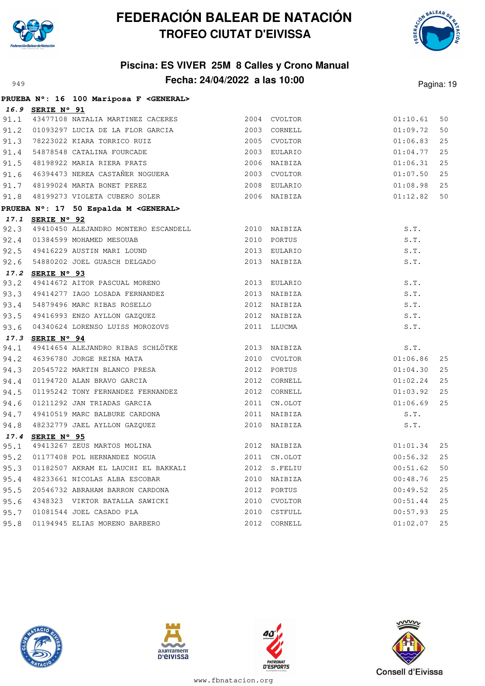



#### **Piscina: ES VIVER 25M 8 Calles y Crono Manual** Pagina: 19<br>**Fecha: 24/04/2022 a las 10:00** Pagina: 19

|      |                  | PRUEBA N°: 16 100 Mariposa F <general></general>                                                  |      |               |          |    |
|------|------------------|---------------------------------------------------------------------------------------------------|------|---------------|----------|----|
|      | 16.9 SERIE N° 91 |                                                                                                   |      |               |          |    |
| 91.1 |                  | 43477108 NATALIA MARTINEZ CACERES 2004 CVOLTOR                                                    |      |               | 01:10.61 | 50 |
| 91.2 |                  | 01093297 LUCIA DE LA FLOR GARCIA (2003 CORNELL                                                    |      |               | 01:09.72 | 50 |
| 91.3 |                  |                                                                                                   |      | 2005 CVOLTOR  | 01:06.83 | 25 |
| 91.4 |                  | 18223022 KIARA TORRICO RUIZ<br>54878548 CATALINA FOURCADE<br>48199999 : - -                       |      | 2003 EULARIO  | 01:04.77 | 25 |
| 91.5 |                  | 48198922 MARIA RIERA PRATS                                                                        |      | 2006 NAIBIZA  | 01:06.31 | 25 |
| 91.6 |                  | 46394473 NEREA CASTAÑER NOGUERA<br>48199024 MARTA BONET PEREZ                                     |      | 2003 CVOLTOR  | 01:07.50 | 25 |
| 91.7 |                  |                                                                                                   |      | 2008 EULARIO  | 01:08.98 | 25 |
|      |                  | 91.8 48199273 VIOLETA CUBERO SOLER                                                                |      | 2006 NAIBIZA  | 01:12.82 | 50 |
|      |                  | PRUEBA N°: 17 50 Espalda M <general></general>                                                    |      |               |          |    |
|      | 17.1 SERIE Nº 92 |                                                                                                   |      |               |          |    |
|      |                  | 92.3 49410450 ALEJANDRO MONTERO ESCANDELL 2010 NAIBIZA                                            |      |               | S.T.     |    |
|      |                  | 92.4 01384599 MOHAMED MESOUAB<br>92.4 01384599 MOHAMED MESOUAB<br>92.5 49416229 AUSTIN MARI LOUND |      | 2010 PORTUS   | S.T.     |    |
|      |                  |                                                                                                   |      | 2013 EULARIO  | S.T.     |    |
|      |                  | 92.6 54880202 JOEL GUASCH DELGADO                                                                 |      | 2013 NAIBIZA  | S.T.     |    |
|      | 17.2 SERIE Nº 93 |                                                                                                   |      |               |          |    |
| 93.2 |                  | 49414672 AITOR PASCUAL MORENO                                                                     |      | 2013 EULARIO  | S.T.     |    |
| 93.3 |                  | 49414277 IAGO LOSADA FERNANDEZ                                                                    |      | 2013 NAIBIZA  | S.T.     |    |
|      |                  | 93.4 54879496 MARC RIBAS ROSELLO                                                                  |      | 2012 NAIBIZA  | S.T.     |    |
|      |                  | 93.5 49416993 ENZO AYLLON GAZQUEZ                                                                 |      | 2012 NAIBIZA  | S.T.     |    |
| 93.6 |                  | 04340624 LORENSO LUISS MOROZOVS                                                                   |      | 2011 LLUCMA   | S.T.     |    |
|      | 17.3 SERIE Nº 94 |                                                                                                   |      |               |          |    |
| 94.1 |                  | 49414654 ALEJANDRO RIBAS SCHLÖTKE<br>$$\tt 2013$$ NAIBIZA                                         |      |               | S.T.     |    |
| 94.2 |                  | 46396780 JORGE REINA MATA                                                                         | 2010 | CVOLTOR       | 01:06.86 | 25 |
| 94.3 |                  | 20545722 MARTIN BLANCO PRESA                                                                      |      | 2012 PORTUS   | 01:04.30 | 25 |
| 94.4 |                  | 01194720 ALAN BRAVO GARCIA                                                                        |      | 2012 CORNELL  | 01:02.24 | 25 |
| 94.5 |                  | 01195242 TONY FERNANDEZ FERNANDEZ                                                                 |      | 2012 CORNELL  | 01:03.92 | 25 |
| 94.6 |                  | 01211292 JAN TRIADAS GARCIA                                                                       |      | 2011 CN.OLOT  | 01:06.69 | 25 |
| 94.7 |                  | 49410519 MARC BALBURE CARDONA                                                                     |      | 2011 NAIBIZA  | S.T.     |    |
|      |                  | 94.8 48232779 JAEL AYLLON GAZQUEZ                                                                 |      | 2010 NAIBIZA  | S.T.     |    |
|      | 17.4 SERIE Nº 95 |                                                                                                   |      |               |          |    |
| 95.1 |                  | 49413267 ZEUS MARTOS MOLINA                                                                       |      | 2012 NAIBIZA  | 01:01.34 | 25 |
|      |                  | 95.2 01177408 POL HERNANDEZ NOGUA 2011 CN.OLOT                                                    |      | $00:56.32$ 25 |          |    |
|      |                  | 95.3 01182507 AKRAM EL LAUCHI EL BAKKALI                                                          |      | 2012 S.FELIU  | 00:51.62 | 50 |
| 95.4 |                  | 48233661 NICOLAS ALBA ESCOBAR                                                                     |      | 2010 NAIBIZA  | 00:48.76 | 25 |
| 95.5 |                  | 20546732 ABRAHAM BARRON CARDONA                                                                   |      | 2012 PORTUS   | 00:49.52 | 25 |
| 95.6 |                  | 4348323 VIKTOR BATALLA SAWICKI                                                                    |      | 2010 CVOLTOR  | 00:51.44 | 25 |
| 95.7 |                  | 01081544 JOEL CASADO PLA                                                                          |      | 2010 CSTFULL  | 00:57.93 | 25 |
| 95.8 |                  | 01194945 ELIAS MORENO BARBERO                                                                     |      | 2012 CORNELL  | 01:02.07 | 25 |







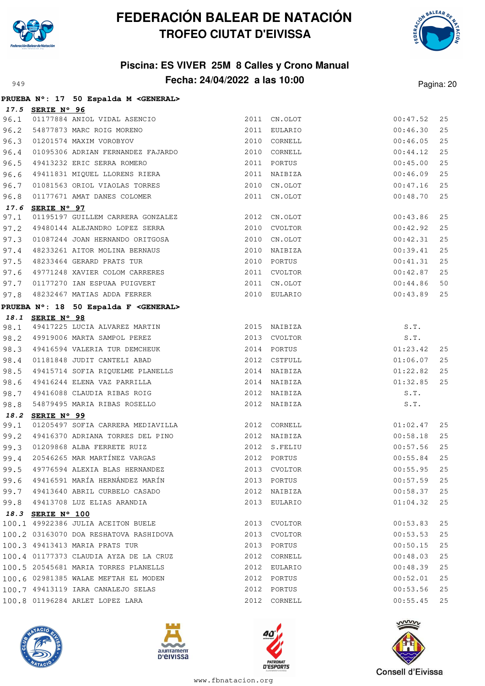



#### **Piscina: ES VIVER 25M 8 Calles y Crono Manual Fecha: 24/04/2022 a las 10:00** Pagina: 20

|      |                   | PRUEBA Nº: 17 50 Espalda M <general></general>                  |              |              |               |    |
|------|-------------------|-----------------------------------------------------------------|--------------|--------------|---------------|----|
|      | 17.5 SERIE N° 96  |                                                                 |              |              |               |    |
| 96.1 |                   | 01177884 ANIOL VIDAL ASENCIO                                    |              | 2011 CN.OLOT | 00:47.52      | 25 |
| 96.2 |                   | 54877873 MARC ROIG MORENO                                       |              | 2011 EULARIO | 00:46.30      | 25 |
| 96.3 |                   | 01201574 MAXIM VOROBYOV                                         |              | 2010 CORNELL | 00:46.05      | 25 |
| 96.4 |                   | 01095306 ADRIAN FERNANDEZ FAJARDO                               |              | 2010 CORNELL | 00:44.12      | 25 |
| 96.5 |                   | 49413232 ERIC SERRA ROMERO                                      |              | 2011 PORTUS  | 00:45.00      | 25 |
| 96.6 |                   | 49411831 MIQUEL LLORENS RIERA                                   |              | 2011 NAIBIZA | 00:46.09      | 25 |
| 96.7 |                   | 01081563 ORIOL VIAOLAS TORRES                                   |              | 2010 CN.OLOT | 00:47.16      | 25 |
| 96.8 |                   | 01177671 AMAT DANES COLOMER                                     |              | 2011 CN.OLOT | 00:48.70      | 25 |
|      | 17.6 SERIE Nº 97  |                                                                 |              |              |               |    |
| 97.1 |                   | 01195197 GUILLEM CARRERA GONZALEZ 2012 CN.OLOT                  |              |              | 00:43.86      | 25 |
| 97.2 |                   | 49480144 ALEJANDRO LOPEZ SERRA                                  |              | 2010 CVOLTOR | 00:42.92      | 25 |
| 97.3 |                   | 01087244 JOAN HERNANDO ORITGOSA                                 |              | 2010 CN.OLOT | 00:42.31      | 25 |
| 97.4 |                   | 48233261 AITOR MOLINA BERNAUS                                   |              | 2010 NAIBIZA | 00:39.41      | 25 |
|      |                   | 97.5 48233464 GERARD PRATS TUR                                  | 2010 PORTUS  |              | 00:41.31      | 25 |
| 97.6 |                   | 49771248 XAVIER COLOM CARRERES 2011 CVOLTOR                     |              |              | 00:42.87      | 25 |
| 97.7 |                   | 01177270 IAN ESPUAA PUIGVERT                                    |              | 2011 CN.OLOT | 00:44.86      | 50 |
| 97.8 |                   | 48232467 MATIAS ADDA FERRER                                     | 2010 EULARIO |              | 00:43.89      | 25 |
|      |                   | PRUEBA N°: 18 50 Espalda F <general></general>                  |              |              |               |    |
|      | 18.1 SERIE N° 98  |                                                                 |              |              |               |    |
|      |                   | 98.1 49417225 LUCIA ALVAREZ MARTIN 2015 NAIBIZA                 |              |              | S.T.          |    |
|      |                   | 98.2 49919006 MARTA SAMPOL PEREZ                                |              | 2013 CVOLTOR | S.T.          |    |
|      |                   | 98.3 49416594 VALERIA TUR DEMCHEUK                              | 2014 PORTUS  |              | 01:23.42      | 25 |
| 98.4 |                   | 01181848 JUDIT CANTELI ABAD                                     |              | 2012 CSTFULL | 01:06.07      | 25 |
| 98.5 |                   | 49415714 SOFIA RIQUELME PLANELLS<br>49416244 ELENA VAZ PARRILLA |              | 2014 NAIBIZA | 01:22.82      | 25 |
| 98.6 |                   |                                                                 |              | 2014 NAIBIZA | 01:32.85      | 25 |
| 98.7 |                   | 49416088 CLAUDIA RIBAS ROIG                                     |              | 2012 NAIBIZA | S.T.          |    |
| 98.8 |                   | 54879495 MARIA RIBAS ROSELLO                                    |              | 2012 NAIBIZA | S.T.          |    |
|      | 18.2 SERIE N° 99  |                                                                 |              |              |               |    |
| 99.1 |                   | 01205497 SOFIA CARRERA MEDIAVILLA 2012 CORNELL                  |              |              | 01:02.47      | 25 |
|      |                   | 99.2 49416370 ADRIANA TORRES DEL PINO                           |              | 2012 NAIBIZA | 00:58.18      | 25 |
|      |                   |                                                                 |              |              | 00:57.56      | 25 |
|      |                   |                                                                 |              |              | $00:55.84$ 25 |    |
|      |                   | 99.5 49776594 ALEXIA BLAS HERNANDEZ                             |              | 2013 CVOLTOR | 00:55.95      | 25 |
|      |                   | 99.6 49416591 MARÍA HERNÁNDEZ MARÍN                             |              | 2013 PORTUS  | 00:57.59      | 25 |
|      |                   | 99.7 49413640 ABRIL CURBELO CASADO                              |              | 2012 NAIBIZA | 00:58.37      | 25 |
|      |                   | 99.8 49413708 LUZ ELIAS ARANDIA                                 |              | 2013 EULARIO | 01:04.32      | 25 |
|      | 18.3 SERIE N° 100 |                                                                 |              |              |               |    |
|      |                   | 100.1 49922386 JULIA ACEITON BUELE                              |              | 2013 CVOLTOR | 00:53.83      | 25 |
|      |                   | 100.2 03163070 DOA RESHATOVA RASHIDOVA                          |              | 2013 CVOLTOR | 00:53.53      | 25 |
|      |                   | 100.3 49413413 MARIA PRATS TUR                                  |              | 2013 PORTUS  | 00:50.15      | 25 |
|      |                   | 100.4 01177373 CLAUDIA AYZA DE LA CRUZ                          |              | 2012 CORNELL | 00:48.03      | 25 |
|      |                   | 100.5 20545681 MARIA TORRES PLANELLS                            |              | 2012 EULARIO | 00:48.39      | 25 |
|      |                   | 100.6 02981385 WALAE MEFTAH EL MODEN                            |              | 2012 PORTUS  | 00:52.01      | 25 |
|      |                   | 100.7 49413119 IARA CANALEJO SELAS                              |              | 2012 PORTUS  | 00:53.56      | 25 |
|      |                   | 100.8 01196284 ARLET LOPEZ LARA                                 |              | 2012 CORNELL | 00:55.45      | 25 |







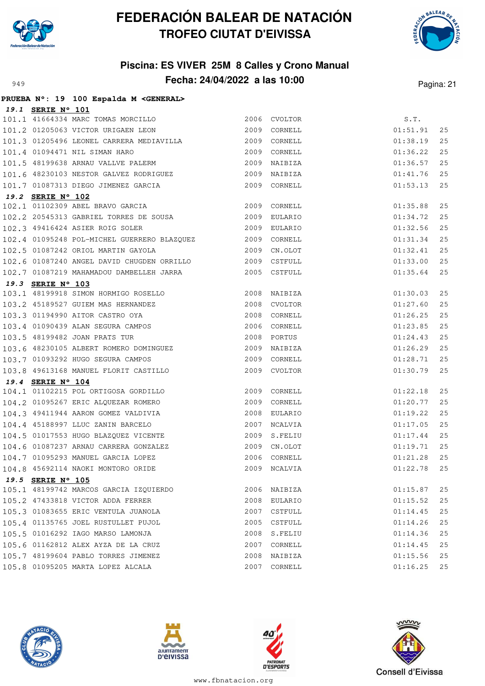



#### **Piscina: ES VIVER 25M 8 Calles y Crono Manual** Pagina: 21/04/2022 **a las 10:00** Pagina: 21

|                   | PRUEBA Nº: 19 100 Espalda M <general></general>                             |      |              |          |    |
|-------------------|-----------------------------------------------------------------------------|------|--------------|----------|----|
| 19.1 SERIE N° 101 |                                                                             |      |              |          |    |
|                   | 101.1 41664334 MARC TOMAS MORCILLO<br>101.2 01205063 VICTOR URIGAEN LEON    |      | 2006 CVOLTOR | S.T.     |    |
|                   |                                                                             |      | 2009 CORNELL | 01:51.91 | 25 |
|                   | 101.3 01205496 LEONEL CARRERA MEDIAVILLA 2009 CORNELL                       |      |              | 01:38.19 | 25 |
|                   | 101.4 01094471 NIL SIMAN HARO                                               | 2009 | CORNELL      | 01:36.22 | 25 |
|                   | 101.5 48199638 ARNAU VALLVE PALERM                                          |      | 2009 NAIBIZA | 01:36.57 | 25 |
|                   | 101.6 48230103 NESTOR GALVEZ RODRIGUEZ 2009                                 |      | NAIBIZA      | 01:41.76 | 25 |
|                   | 101.7 01087313 DIEGO JIMENEZ GARCIA                                         |      | 2009 CORNELL | 01:53.13 | 25 |
| 19.2 SERIE N° 102 |                                                                             |      |              |          |    |
|                   |                                                                             |      |              | 01:35.88 | 25 |
|                   | 102.2 20545313 GABRIEL TORRES DE SOUSA                                      |      | 2009 EULARIO | 01:34.72 | 25 |
|                   | 102.3 49416424 ASIER ROIG SOLER<br>2009 EULARIO                             |      |              | 01:32.56 | 25 |
|                   | 102.4 01095248 POL-MICHEL GUERRERO BLAZQUEZ 2009 CORNELL                    |      |              | 01:31.34 | 25 |
|                   | 2009 CN.OLOT<br>102.5 01087242 ORIOL MARTIN GAYOLA                          |      |              | 01:32.41 | 25 |
|                   | 102.6 01087240 ANGEL DAVID CHUGDEN ORRILLO 2009 CSTFULL                     |      |              | 01:33.00 | 25 |
|                   | 102.7 01087219 MAHAMADOU DAMBELLEH JARRA 2005 CSTFULL                       |      |              | 01:35.64 | 25 |
| 19.3 SERIE N° 103 |                                                                             |      |              |          |    |
|                   | 103.1 48199918 SIMON HORMIGO ROSELLO                                        | 2008 | NAIBIZA      | 01:30.03 | 25 |
|                   | 103.2 45189527 GUIEM MAS HERNANDEZ<br>103.3 01194990 AITOR CASTRO OYA       | 2008 | CVOLTOR      | 01:27.60 | 25 |
|                   |                                                                             |      | 2008 CORNELL | 01:26.25 | 25 |
|                   | 103.4 01090439 ALAN SEGURA CAMPOS                                           |      | 2006 CORNELL | 01:23.85 | 25 |
|                   | 103.5 48199482 JOAN PRATS TUR                                               |      | 2008 PORTUS  | 01:24.43 | 25 |
|                   | 103.6 48230105 ALBERT ROMERO DOMINGUEZ                                      |      | 2009 NAIBIZA | 01:26.29 | 25 |
|                   | 103.7 01093292 HUGO SEGURA CAMPOS                                           |      | 2009 CORNELL | 01:28.71 | 25 |
|                   | 103.8 49613168 MANUEL FLORIT CASTILLO                                       |      | 2009 CVOLTOR | 01:30.79 | 25 |
| 19.4 SERIE N° 104 |                                                                             |      |              |          |    |
|                   | 104.1 01102215 POL ORTIGOSA GORDILLO                                        | 2009 | CORNELL      | 01:22.18 | 25 |
|                   | 104.2 01095267 ERIC ALQUEZAR ROMERO                                         |      | 2009 CORNELL | 01:20.77 | 25 |
|                   | 104.3 49411944 AARON GOMEZ VALDIVIA                                         |      | 2008 EULARIO | 01:19.22 | 25 |
|                   | 104.4 45188997 LLUC ZANIN BARCELO                                           | 2007 | NCALVIA      | 01:17.05 | 25 |
|                   | 104.5 01017553 HUGO BLAZQUEZ VICENTE                                        | 2009 | S.FELIU      | 01:17.44 | 25 |
|                   | 104.6 01087237 ARNAU CARRERA GONZALEZ<br>104.7 01095293 MANUEL GARCIA LOPEZ |      | 2009 CN.OLOT | 01:19.71 | 25 |
|                   |                                                                             |      | 2006 CORNELL | 01:21.28 | 25 |
|                   | 104.8 45692114 NAOKI MONTORO ORIDE                                          |      | 2009 NCALVIA | 01:22.78 | 25 |
| 19.5 SERIE N° 105 |                                                                             |      |              |          |    |
|                   | 105.1 48199742 MARCOS GARCIA IZQUIERDO                                      | 2006 | NAIBIZA      | 01:15.87 | 25 |
|                   | 105.2 47433818 VICTOR ADDA FERRER                                           | 2008 | EULARIO      | 01:15.52 | 25 |
|                   | 105.3 01083655 ERIC VENTULA JUANOLA                                         | 2007 | CSTFULL      | 01:14.45 | 25 |
|                   | 105.4 01135765 JOEL RUSTULLET PUJOL                                         | 2005 | CSTFULL      | 01:14.26 | 25 |
|                   | 105.5 01016292 IAGO MARSO LAMONJA                                           | 2008 | S.FELIU      | 01:14.36 | 25 |
|                   | 105.6 01162812 ALEX AYZA DE LA CRUZ                                         | 2007 | CORNELL      | 01:14.45 | 25 |
|                   | 105.7 48199604 PABLO TORRES JIMENEZ                                         | 2008 | NAIBIZA      | 01:15.56 | 25 |
|                   | 105.8 01095205 MARTA LOPEZ ALCALA                                           | 2007 | CORNELL      | 01:16.25 | 25 |







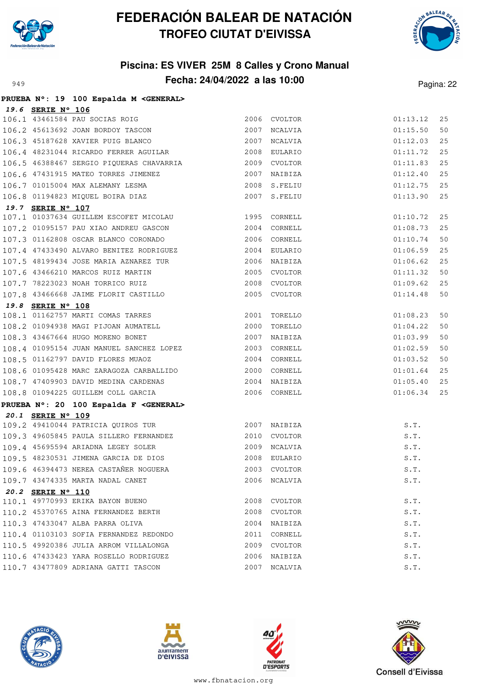



#### **Piscina: ES VIVER 25M 8 Calles y Crono Manual Fecha: 24/04/2022 a las 10:00** Pagina: 22

|                   | PRUEBA Nº: 19 100 Espalda M <general></general>                                 |               |          |    |
|-------------------|---------------------------------------------------------------------------------|---------------|----------|----|
| 19.6 SERIE Nº 106 |                                                                                 |               |          |    |
|                   | 106.1 43461584 PAU SOCIAS ROIG<br>106.2 45613692 JOAN BORDOY TASCON             | 2006 CVOLTOR  | 01:13.12 | 25 |
|                   |                                                                                 | 2007 NCALVIA  | 01:15.50 | 50 |
|                   | 106.3 45187628 XAVIER PUIG BLANCO                                               | 2007 NCALVIA  | 01:12.03 | 25 |
|                   | 106.4 48231044 RICARDO FERRER AGUILAR                                           | 2008 EULARIO  | 01:11.72 | 25 |
|                   |                                                                                 |               | 01:11.83 | 25 |
|                   | 106.6 47431915 MATEO TORRES JIMENEZ                                             | 2007 NAIBIZA  | 01:12.40 | 25 |
|                   |                                                                                 | 2008 S.FELIU  | 01:12.75 | 25 |
|                   | 106.7 01015004 MAX ALEMANY LESMA<br>106.8 01194823 MIQUEL BOIRA DIAZ            | 2007 S.FELIU  | 01:13.90 | 25 |
| 19.7 SERIE N° 107 |                                                                                 |               |          |    |
|                   | 107.1 01037634 GUILLEM ESCOFET MICOLAU 1995 CORNELL                             |               | 01:10.72 | 25 |
|                   | 107.2 01095157 PAU XIAO ANDREU GASCON                                           | 2004 CORNELL  | 01:08.73 | 25 |
|                   | 107.3 01162808 OSCAR BLANCO CORONADO<br>107.4 47433490 ALVARO BENITEZ RODRIGUEZ | 2006 CORNELL  | 01:10.74 | 50 |
|                   |                                                                                 | 2004 EULARIO  | 01:06.59 | 25 |
|                   |                                                                                 |               | 01:06.62 | 25 |
|                   | 107.6 43466210 MARCOS RUIZ MARTIN                                               | 2005 CVOLTOR  | 01:11.32 | 50 |
|                   |                                                                                 | 2008 CVOLTOR  | 01:09.62 | 25 |
|                   | 107.7 78223023 NOAH TORRICO RUIZ<br>107.8 43466668 JAIME FLORIT CASTILLO        | 2005 CVOLTOR  | 01:14.48 | 50 |
| 19.8 SERIE N° 108 |                                                                                 |               |          |    |
|                   | 108.1 01162757 MARTI COMAS TARRES                                               | 2001 TORELLO  | 01:08.23 | 50 |
|                   | 108.2 01094938 MAGI PIJOAN AUMATELL                                             | 2000 TORELLO  | 01:04.22 | 50 |
|                   | 108.3 43467664 HUGO MORENO BONET                                                | 2007 NAIBIZA  | 01:03.99 | 50 |
|                   | 108.4 01095154 JUAN MANUEL SANCHEZ LOPEZ 2003 CORNELL                           |               | 01:02.59 | 50 |
|                   | 108.5 01162797 DAVID FLORES MUAOZ                                               | 2004 CORNELL  | 01:03.52 | 50 |
|                   | 108.6 01095428 MARC ZARAGOZA CARBALLIDO                                         | 2000 CORNELL  | 01:01.64 | 25 |
|                   | 108.7 47409903 DAVID MEDINA CARDENAS<br>108.8 01094225 CUIIIEM COLL CARDENAS    | 2004 NAIBIZA  | 01:05.40 | 25 |
|                   | 108.8 01094225 GUILLEM COLL GARCIA                                              | 2006 CORNELL  | 01:06.34 | 25 |
|                   | PRUEBA N°: 20 100 Espalda F <general></general>                                 |               |          |    |
| 20.1 SERIE N° 109 |                                                                                 |               |          |    |
|                   | 109.2 49410044 PATRICIA QUIROS TURAN MARIS 2007 NAIBIZA                         |               | S.T.     |    |
|                   | 109.3 49605845 PAULA SILLERO FERNANDEZ                                          | 2010 CVOLTOR  | S.T.     |    |
|                   | 109.4 45695594 ARIADNA LEGEY SOLER 2009 NCALVIA                                 |               | S.T.     |    |
|                   | 109.5 48230531 JIMENA GARCIA DE DIOS 2008 EULARIO                               | $S \cdot T$ . |          |    |
|                   | 109.6 46394473 NEREA CASTAÑER NOGUERA                                           | 2003 CVOLTOR  | S.T.     |    |
|                   | 109.7 43474335 MARTA NADAL CANET                                                | 2006 NCALVIA  | S.T.     |    |
| 20.2 SERIE N° 110 |                                                                                 |               |          |    |
|                   | 110.1 49770993 ERIKA BAYON BUENO                                                | 2008 CVOLTOR  | S.T.     |    |
|                   | 110.2 45370765 AINA FERNANDEZ BERTH                                             | 2008 CVOLTOR  | S.T.     |    |
|                   | 110.3 47433047 ALBA PARRA OLIVA                                                 | 2004 NAIBIZA  | S.T.     |    |
|                   | 110.4 01103103 SOFIA FERNANDEZ REDONDO                                          | 2011 CORNELL  | S.T.     |    |
|                   | 110.5 49920386 JULIA ARROM VILLALONGA                                           | 2009 CVOLTOR  | S.T.     |    |
|                   | 110.6 47433423 YARA ROSELLO RODRIGUEZ                                           | 2006 NAIBIZA  | S.T.     |    |
|                   | 110.7 43477809 ADRIANA GATTI TASCON                                             | 2007 NCALVIA  | S.T.     |    |







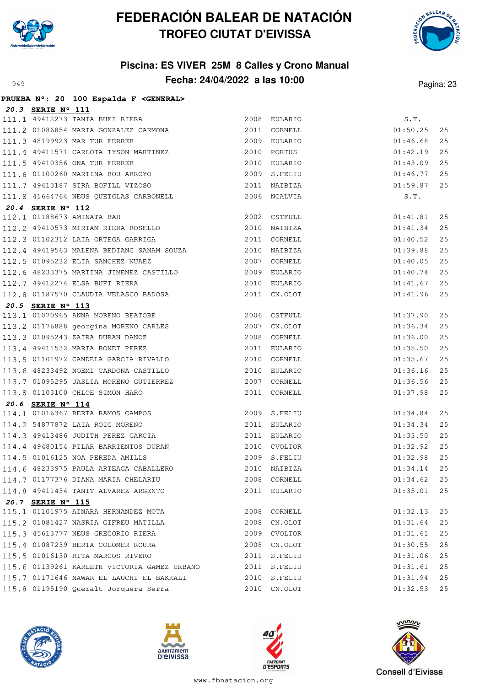



#### **Piscina: ES VIVER 25M 8 Calles y Crono Manual** Pagina: 24/04/2022 **a las 10:00** Pagina: 23

|                   | PRUEBA Nº: 20 100 Espalda F <general></general>                                                          |      |              |          |    |
|-------------------|----------------------------------------------------------------------------------------------------------|------|--------------|----------|----|
| 20.3 SERIE Nº 111 |                                                                                                          |      |              |          |    |
|                   | 111.1 49412273 TANIA BUFI RIERA                                                                          |      | 2008 EULARIO | S.T.     |    |
|                   | 111.2 01086854 MARIA GONZALEZ CARMONA                                                                    |      | 2011 CORNELL | 01:50.25 | 25 |
|                   | 111.3 48199923 MAR TUR FERRER                                                                            |      | 2009 EULARIO | 01:46.68 | 25 |
|                   | 111.4 49411571 CARLOTA TYSON MARTINEZ                                                                    |      | 2010 PORTUS  | 01:42.19 | 25 |
|                   | 111.5 49410356 ONA TUR FERRER                                                                            |      | 2010 EULARIO | 01:43.09 | 25 |
|                   | 111.6 01100260 MARTINA BOU ARROYO                                                                        |      | 2009 S.FELIU | 01:46.77 | 25 |
|                   | 111.7 49413187 SIRA BOFILL VIZOSO                                                                        |      | 2011 NAIBIZA | 01:59.87 | 25 |
|                   | 111.8 41664764 NEUS QUETGLAS CARBONELL                                                                   |      | 2006 NCALVIA | S.T.     |    |
| 20.4 SERIE Nº 112 |                                                                                                          |      |              |          |    |
|                   | 112.1 01188673 AMINATA BAH                                                                               |      | 2002 CSTFULL | 01:41.81 | 25 |
|                   | 112.2 49410573 MIRIAM RIERA ROSELLO                                                                      |      | 2010 NAIBIZA | 01:41.34 | 25 |
|                   | 112.3 01102312 LAIA ORTEGA GARRIGA                                                                       |      | 2011 CORNELL | 01:40.52 | 25 |
|                   | 112.4 49419563 MALENA BEDIANG SANAM SOUZA 2010 NAIBIZA                                                   |      |              | 01:39.88 | 25 |
|                   | 112.5 01095232 ELIA SANCHEZ NUAEZ 2007 CORNELL                                                           |      |              | 01:40.05 | 25 |
|                   | 112.6 48233375 MARTINA JIMENEZ CASTILLO<br>112.7 49412274 ELSA BUFI RIERA<br>110.0 01107570 SIMPIE MERRA |      | 2009 EULARIO | 01:40.74 | 25 |
|                   |                                                                                                          |      | 2010 EULARIO | 01:41.67 | 25 |
|                   | 112.8 01187570 CLAUDIA VELASCO BADOSA                                                                    |      | 2011 CN.OLOT | 01:41.96 | 25 |
| 20.5 SERIE Nº 113 |                                                                                                          |      |              |          |    |
|                   | 113.1 01070965 ANNA MORENO BEATOBE                                                                       |      | 2006 CSTFULL | 01:37.90 | 25 |
|                   |                                                                                                          |      | 2007 CN.OLOT | 01:36.34 | 25 |
|                   | 113.2 01176888 georgina MORENO CARLES<br>113.3 01095243 ZAIRA DURAN DANOZ                                |      | 2008 CORNELL | 01:36.00 | 25 |
|                   | 113.4 49411532 MARIA BONET PEREZ                                                                         |      | 2011 EULARIO | 01:35.50 | 25 |
|                   | 113.5 01101972 CANDELA GARCIA RIVALLO                                                                    |      | 2010 CORNELL | 01:35.67 | 25 |
|                   | 113.6 48233492 NOEMI CARDONA CASTILLO                                                                    |      | 2010 EULARIO | 01:36.16 | 25 |
|                   | 113.7 01095295 JASLIA MORENO GUTIERREZ                                                                   |      | 2007 CORNELL | 01:36.56 | 25 |
|                   | 113.8 01103100 CHLOE SIMON HARO                                                                          |      | 2011 CORNELL | 01:37.98 | 25 |
| 20.6 SERIE Nº 114 |                                                                                                          |      |              |          |    |
|                   | 114.1 01016367 BERTA RAMOS CAMPOS                                                                        |      | 2009 S.FELIU | 01:34.84 | 25 |
|                   | 114.2 54877872 LAIA ROIG MORENO                                                                          |      | 2011 EULARIO | 01:34.34 | 25 |
|                   | 114.3 49413486 JUDITH PEREZ GARCIA                                                                       |      | 2011 EULARIO | 01:33.50 | 25 |
|                   | 114.4 49480154 PILAR BARRIENTOS DURAN                                                                    |      | 2010 CVOLTOR | 01:32.92 | 25 |
|                   | 114.5 01016125 NOA PEREDA AMILLS                                                                         |      | 2009 S.FELIU | 01:32.98 | 25 |
|                   | 114.6 48233975 PAULA ARTEAGA CABALLERO                                                                   |      | 2010 NAIBIZA | 01:34.14 | 25 |
|                   | 114.7 01177376 DIANA MARIA CHELARIU                                                                      |      | 2008 CORNELL | 01:34.62 | 25 |
|                   | 114.8 49411434 TANIT ALVAREZ ARGENTO                                                                     |      | 2011 EULARIO | 01:35.01 | 25 |
| 20.7 SERIE N° 115 |                                                                                                          |      |              |          |    |
|                   | 115.1 01101975 AINARA HERNANDEZ MOTA                                                                     | 2008 | CORNELL      | 01:32.13 | 25 |
|                   | 115.2 01081427 NASRIA GIFREU MATILLA                                                                     | 2008 | CN.OLOT      | 01:31.64 | 25 |
|                   | 115.3 45613777 NEUS GREGORIO RIERA                                                                       | 2009 | CVOLTOR      | 01:31.61 | 25 |
|                   | 115.4 01087239 BERTA COLOMER ROURA                                                                       | 2008 | CN.OLOT      | 01:30.55 | 25 |
|                   | 115.5 01016130 RITA MARCOS RIVERO                                                                        | 2011 | S.FELIU      | 01:31.06 | 25 |
|                   | 115.6 01139261 KARLETH VICTORIA GAMEZ URBANO                                                             |      | 2011 S.FELIU | 01:31.61 | 25 |
|                   | 115.7 01171646 NAWAR EL LAUCHI EL BAKKALI                                                                | 2010 | S.FELIU      | 01:31.94 | 25 |
|                   | 115.8 01195190 Queralt Jorquera Serra                                                                    | 2010 | CN.OLOT      | 01:32.53 | 25 |







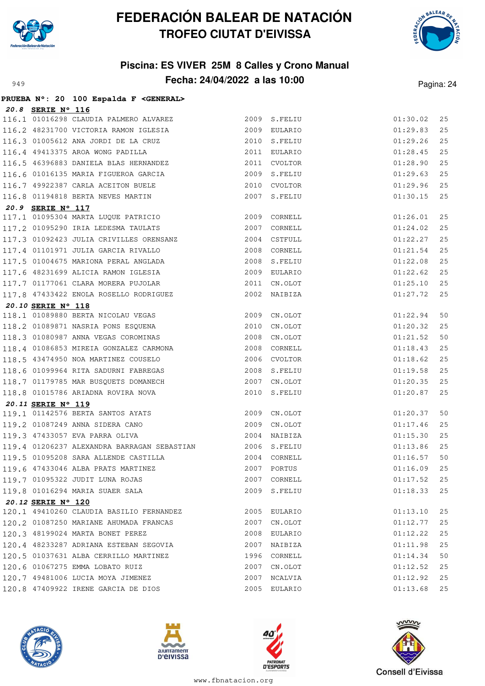



#### **Piscina: ES VIVER 25M 8 Calles y Crono Manual** Pagina: 24/04/2022 **a las 10:00** Pagina: 24

|                    | PRUEBA N°: 20 100 Espalda F <general></general>          |      |               |          |    |
|--------------------|----------------------------------------------------------|------|---------------|----------|----|
| 20.8 SERIE Nº 116  |                                                          |      |               |          |    |
|                    | 116.1 01016298 CLAUDIA PALMERO ALVAREZ                   |      | 2009 S.FELIU  | 01:30.02 | 25 |
|                    | 116.2 48231700 VICTORIA RAMON IGLESIA 2009 EULARIO       |      |               | 01:29.83 | 25 |
|                    | 116.3 01005612 ANA JORDI DE LA CRUZ                      |      | 2010 S.FELIU  | 01:29.26 | 25 |
|                    | 116.4 49413375 AROA WONG PADILLA                         |      | 2011 EULARIO  | 01:28.45 | 25 |
|                    | 116.5 46396883 DANIELA BLAS HERNANDEZ                    | 2011 | CVOLTOR       | 01:28.90 | 25 |
|                    | 116.6 01016135 MARIA FIGUEROA GARCIA                     |      | 2009 S.FELIU  | 01:29.63 | 25 |
|                    | 116.7 49922387 CARLA ACEITON BUELE                       |      | 2010 CVOLTOR  | 01:29.96 | 25 |
|                    | 116.8 01194818 BERTA NEVES MARTIN                        |      | 2007 S.FELIU  | 01:30.15 | 25 |
| 20.9 SERIE N° 117  |                                                          |      |               |          |    |
|                    | 117.1 01095304 MARTA LUQUE PATRICIO                      |      | 2009 CORNELL  | 01:26.01 | 25 |
|                    | 117.2 01095290 IRIA LEDESMA TAULATS 2007 CORNELL         |      |               | 01:24.02 | 25 |
|                    | 117.3 01092423 JULIA CRIVILLES ORENSANZ                  |      | 2004 CSTFULL  | 01:22.27 | 25 |
|                    | 117.4 01101971 JULIA GARCIA RIVALLO                      |      | 2008 CORNELL  | 01:21.54 | 25 |
|                    | 117.5 01004675 MARIONA PERAL ANGLADA                     | 2008 | S.FELIU       | 01:22.08 | 25 |
|                    | 117.6 48231699 ALICIA RAMON IGLESIA                      |      | 2009 EULARIO  | 01:22.62 | 25 |
|                    | 117.7 01177061 CLARA MORERA PUJOLAR 2011 CN.OLOT         |      |               | 01:25.10 | 25 |
|                    | 117.8 47433422 ENOLA ROSELLO RODRIGUEZ 6002 NAIBIZA      |      |               | 01:27.72 | 25 |
| 20.10 SERIE N° 118 |                                                          |      |               |          |    |
|                    | 118.1 01089880 BERTA NICOLAU VEGAS                       |      | 2009 CN.OLOT  | 01:22.94 | 50 |
|                    | 118.2 01089871 NASRIA PONS ESQUENA                       |      | 2010 CN.OLOT  | 01:20.32 | 25 |
|                    | 118.3 01080987 ANNA VEGAS COROMINAS<br>2008 CN.OLOT      |      |               | 01:21.52 | 50 |
|                    | 118.4 01086853 MIREIA GONZALEZ CARMONA 2008 CORNELL      |      |               | 01:18.43 | 25 |
|                    | 118.5 43474950 NOA MARTINEZ COUSELO                      |      | 2006 CVOLTOR  | 01:18.62 | 25 |
|                    | 118.6 01099964 RITA SADURNI FABREGAS                     |      | 2008 S.FELIU  | 01:19.58 | 25 |
|                    | 118.7 01179785 MAR BUSQUETS DOMANECH                     |      | 2007 CN.OLOT  | 01:20.35 | 25 |
|                    | 118.8 01015786 ARIADNA ROVIRA NOVA                       |      | 2010 S.FELIU  | 01:20.87 | 25 |
| 20.11 SERIE N° 119 |                                                          |      |               |          |    |
|                    | 119.1 01142576 BERTA SANTOS AYATS                        |      | 2009 CN.OLOT  | 01:20.37 | 50 |
|                    | 119.2 01087249 ANNA SIDERA CANO                          |      | 2009 CN.OLOT  | 01:17.46 | 25 |
|                    | 119.3 47433057 EVA PARRA OLIVA                           |      | 2004 NAIBIZA  | 01:15.30 | 25 |
|                    | 119.4 01206237 ALEXANDRA BARRAGAN SEBASTIAN 2006 S.FELIU |      |               | 01:13.86 | 25 |
|                    | 119.5 01095208 SARA ALLENDE CASTILLA 2004 CORNELL        |      | $01:16.57$ 50 |          |    |
|                    | 119.6 47433046 ALBA PRATS MARTINEZ                       |      | 2007 PORTUS   | 01:16.09 | 25 |
|                    | 119.7 01095322 JUDIT LUNA ROJAS                          |      | 2007 CORNELL  | 01:17.52 | 25 |
|                    | 119.8 01016294 MARIA SUAER SALA                          |      | 2009 S.FELIU  | 01:18.33 | 25 |
| 20.12 SERIE N° 120 |                                                          |      |               |          |    |
|                    | 120.1 49410260 CLAUDIA BASILIO FERNANDEZ                 |      | 2005 EULARIO  | 01:13.10 | 25 |
|                    | 120.2 01087250 MARIANE AHUMADA FRANCAS                   |      | 2007 CN.OLOT  | 01:12.77 | 25 |
|                    | 120.3 48199024 MARTA BONET PEREZ                         |      | 2008 EULARIO  | 01:12.22 | 25 |
|                    | 120.4 48233287 ADRIANA ESTEBAN SEGOVIA                   | 2007 | NAIBIZA       | 01:11.98 | 25 |
|                    | 120.5 01037631 ALBA CERRILLO MARTINEZ                    |      | 1996 CORNELL  | 01:14.34 | 50 |
|                    | 120.6 01067275 EMMA LOBATO RUIZ                          |      | 2007 CN.OLOT  | 01:12.52 | 25 |
|                    | 120.7 49481006 LUCIA MOYA JIMENEZ                        | 2007 | NCALVIA       | 01:12.92 | 25 |
|                    | 120.8 47409922 IRENE GARCIA DE DIOS                      |      | 2005 EULARIO  | 01:13.68 | 25 |







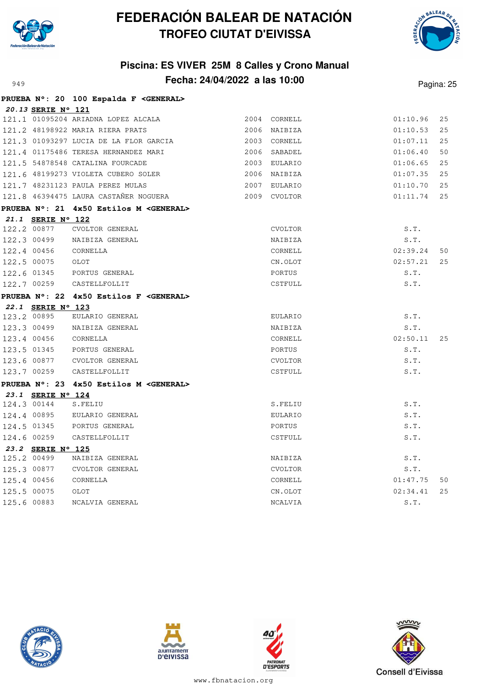

**20.13 SERIE Nº 121**

**21.1 SERIE Nº 122**

**PRUEBA Nº: 20 100 Espalda F <GENERAL>**

### **FEDERACIÓN BALEAR DE NATACIÓN TROFEO CIUTAT D'EIVISSA**



#### **Piscina: ES VIVER 25M 8 Calles y Crono Manual Fecha: 24/04/2022 a las 10:00** Pagina: 25

#### 121.1 01095204 ARIADNA LOPEZ ALCALA 2004 CORNELL 01:10.96 25 121.2 48198922 MARIA RIERA PRATS 2006 NAIBIZA 01:10.53 25 121.3 01093297 LUCIA DE LA FLOR GARCIA 2003 CORNELL 01:07.11 25 121.4 01175486 TERESA HERNANDEZ MARI 2006 SABADEL 01:06.40 50 121.5 54878548 CATALINA FOURCADE 2003 EULARIO 01:06.65 25 121.6 48199273 VIOLETA CUBERO SOLER 2006 NAIBIZA 01:07.35 25 121.7 48231123 PAULA PEREZ MULAS 2007 EULARIO 01:10.70 25 121.8 46394475 LAURA CASTAÑER NOGUERA 2009 CVOLTOR 01:11.74 25 **PRUEBA Nº: 21 4x50 Estilos M <GENERAL>** 122.2 00877 CVOLTOR GENERAL CVOLTOR S.T. 122.3 00499 NAIBIZA GENERAL SEREGAL NAIBIZA NAIBIZA S.T. 122.4 00456 CORNELLA CORNELL 02:39.24 50 122.5 00075 OLOT CN.OLOT 02:57.21 25 122.6 01345 PORTUS GENERAL PORTUS S.T. 122.7 00259 CASTELLFOLLIT CSTFULL S.T. **PRUEBA Nº: 22 4x50 Estilos F <GENERAL>**

| 22.1        | SERIE N° 123      |                                                  |                |          |    |
|-------------|-------------------|--------------------------------------------------|----------------|----------|----|
| 123.2 00895 |                   | EULARIO GENERAL                                  | EULARIO        | S.T.     |    |
| 123.3 00499 |                   | NAIBIZA GENERAL                                  | NAIBIZA        | S.T.     |    |
| 123.4 00456 |                   | CORNELLA                                         | CORNELL        | 02:50.11 | 25 |
| 123.5 01345 |                   | PORTUS GENERAL                                   | PORTUS         | S.T.     |    |
| 123.6 00877 |                   | CVOLTOR GENERAL                                  | CVOLTOR        | S.T.     |    |
| 123.7 00259 |                   | CASTELLFOLLIT                                    | CSTFULL        | S.T.     |    |
|             |                   | PRUEBA Nº: 23 4x50 Estilos M <general></general> |                |          |    |
|             | 23.1 SERIE N° 124 |                                                  |                |          |    |
| 124.3 00144 |                   | S.FELIU                                          | S.FELIU        | S.T.     |    |
| 124.4 00895 |                   | EULARIO GENERAL                                  | EULARIO        | S.T.     |    |
| 124.5 01345 |                   | PORTUS GENERAL                                   | PORTUS         | S.T.     |    |
| 124.6 00259 |                   | CASTELLFOLLIT                                    | CSTFULL        | S.T.     |    |
|             | 23.2 SERIE N° 125 |                                                  |                |          |    |
| 125.2 00499 |                   | NAIBIZA GENERAL                                  | NAIBIZA        | S.T.     |    |
| 125.3 00877 |                   | CVOLTOR GENERAL                                  | CVOLTOR        | S.T.     |    |
| 125.4 00456 |                   | CORNELLA                                         | CORNELL        | 01:47.75 | 50 |
| 125.5 00075 |                   | OLOT                                             | CN.OLOT        | 02:34.41 | 25 |
| 125.6 00883 |                   | NCALVIA GENERAL                                  | <b>NCALVIA</b> | S.T.     |    |